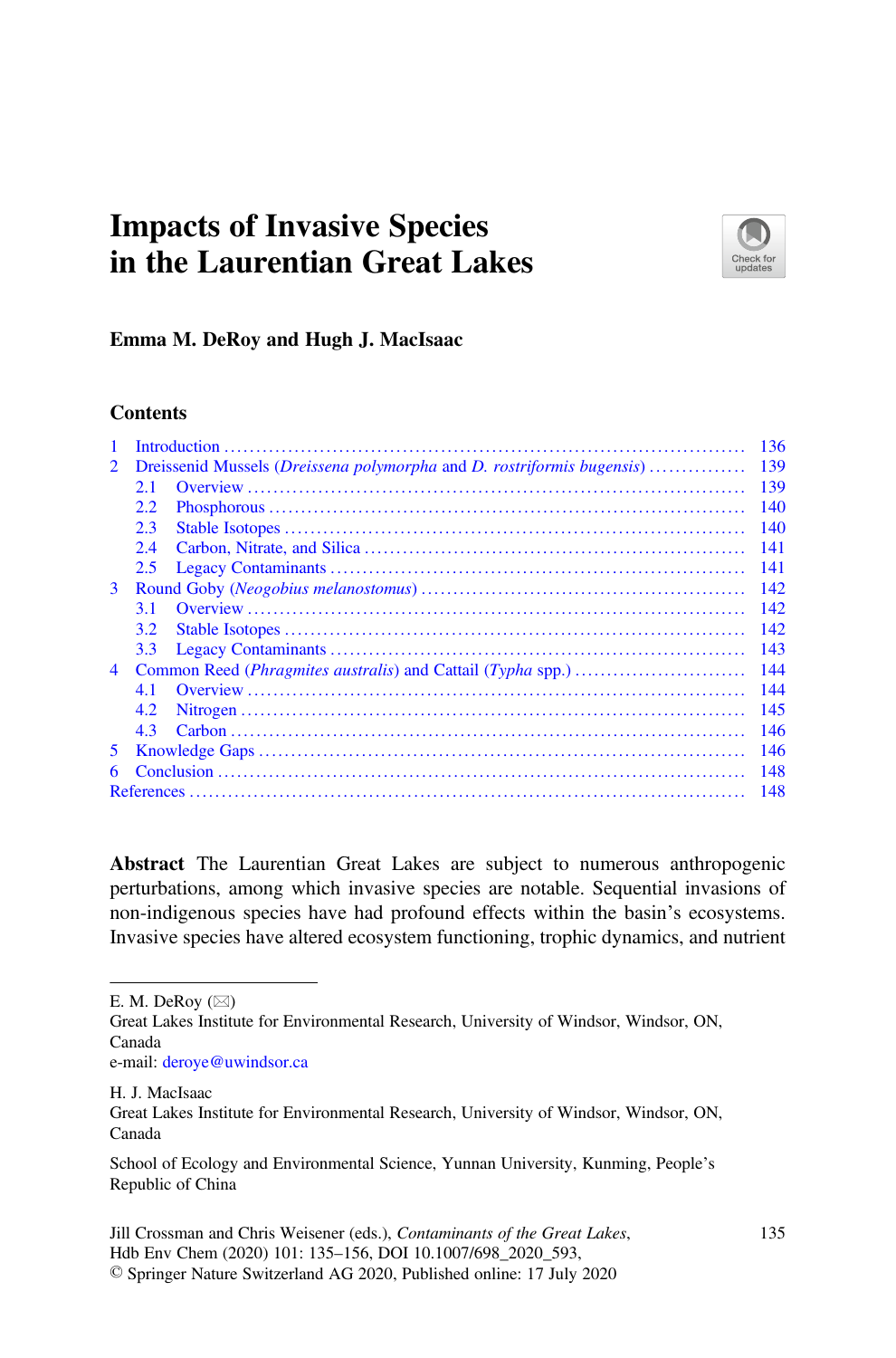# Impacts of Invasive Species in the Laurentian Great Lakes



#### Emma M. DeRoy and Hugh J. MacIsaac

#### **Contents**

|                |                                                                                        |  | 136 |
|----------------|----------------------------------------------------------------------------------------|--|-----|
| $\mathbf{2}$   | Dreissenid Mussels ( <i>Dreissena polymorpha</i> and <i>D. rostriformis bugensis</i> ) |  | 139 |
|                | 2.1                                                                                    |  | 139 |
|                | 2.2                                                                                    |  | 140 |
|                | 2.3                                                                                    |  | 140 |
|                | 2.4                                                                                    |  | 141 |
|                | 2.5                                                                                    |  | 141 |
| 3              |                                                                                        |  | 142 |
|                | 3.1                                                                                    |  | 142 |
|                | 3.2                                                                                    |  | 142 |
|                | 3.3                                                                                    |  | 143 |
| $\overline{4}$ |                                                                                        |  | 144 |
|                | 4.1                                                                                    |  | 144 |
|                | 4.2                                                                                    |  | 145 |
|                | 4.3                                                                                    |  | 146 |
| 5.             |                                                                                        |  | 146 |
| 6              |                                                                                        |  | 148 |
|                | 148                                                                                    |  |     |
|                |                                                                                        |  |     |

Abstract The Laurentian Great Lakes are subject to numerous anthropogenic perturbations, among which invasive species are notable. Sequential invasions of non-indigenous species have had profound effects within the basin's ecosystems. Invasive species have altered ecosystem functioning, trophic dynamics, and nutrient

E. M. DeRoy  $(\boxtimes)$ 

H. J. MacIsaac

Great Lakes Institute for Environmental Research, University of Windsor, Windsor, ON, Canada e-mail: [deroye@uwindsor.ca](mailto:deroye@uwindsor.ca)

Great Lakes Institute for Environmental Research, University of Windsor, Windsor, ON, Canada

School of Ecology and Environmental Science, Yunnan University, Kunming, People's Republic of China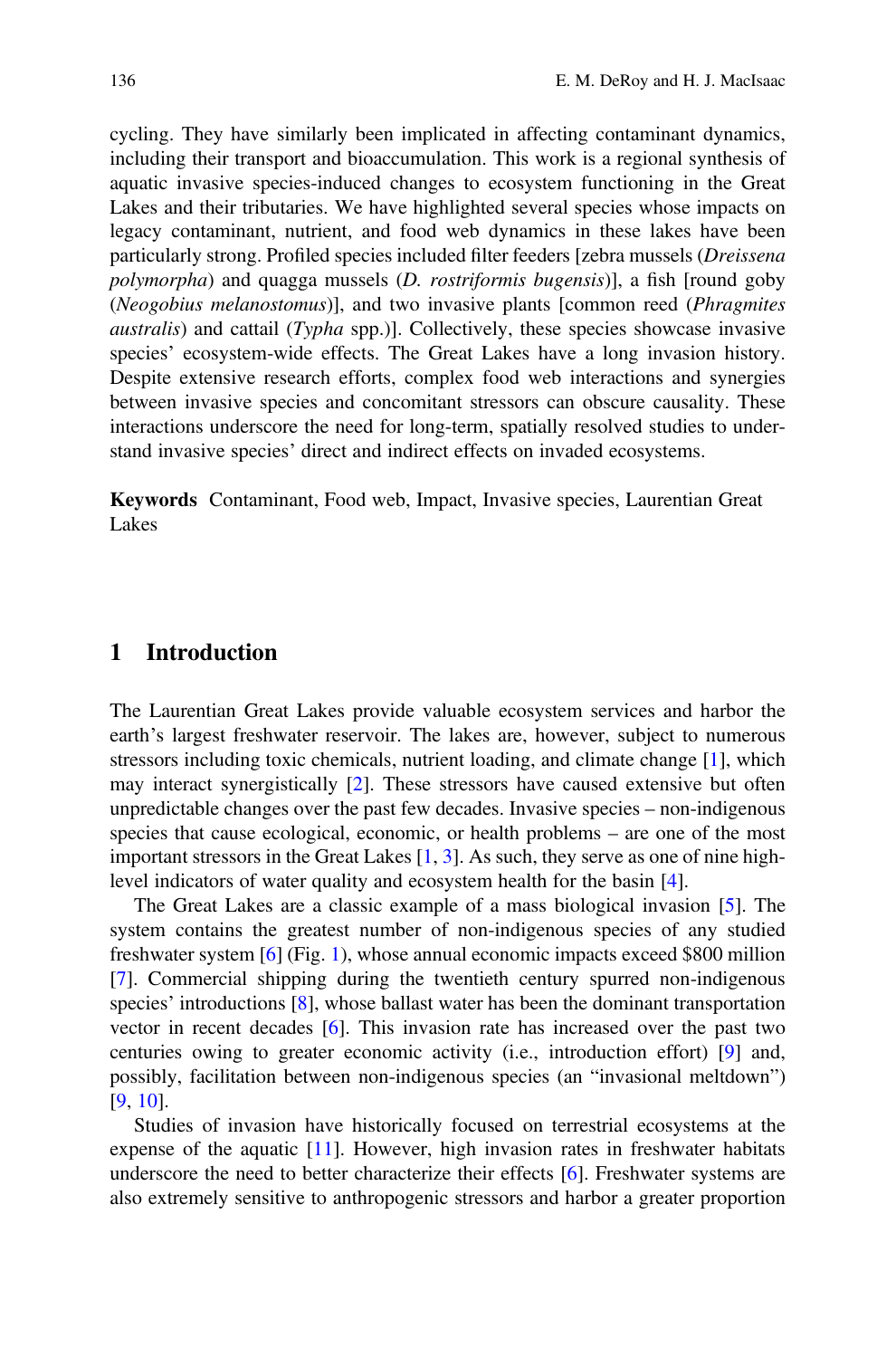cycling. They have similarly been implicated in affecting contaminant dynamics, including their transport and bioaccumulation. This work is a regional synthesis of aquatic invasive species-induced changes to ecosystem functioning in the Great Lakes and their tributaries. We have highlighted several species whose impacts on legacy contaminant, nutrient, and food web dynamics in these lakes have been particularly strong. Profiled species included filter feeders [zebra mussels (Dreissena polymorpha) and quagga mussels (D. rostriformis bugensis)], a fish [round goby (Neogobius melanostomus)], and two invasive plants [common reed (Phragmites australis) and cattail (Typha spp.)]. Collectively, these species showcase invasive species' ecosystem-wide effects. The Great Lakes have a long invasion history. Despite extensive research efforts, complex food web interactions and synergies between invasive species and concomitant stressors can obscure causality. These interactions underscore the need for long-term, spatially resolved studies to understand invasive species' direct and indirect effects on invaded ecosystems.

Keywords Contaminant, Food web, Impact, Invasive species, Laurentian Great Lakes

#### 1 Introduction

The Laurentian Great Lakes provide valuable ecosystem services and harbor the earth's largest freshwater reservoir. The lakes are, however, subject to numerous stressors including toxic chemicals, nutrient loading, and climate change [1], which may interact synergistically [2]. These stressors have caused extensive but often unpredictable changes over the past few decades. Invasive species – non-indigenous species that cause ecological, economic, or health problems – are one of the most important stressors in the Great Lakes [1, 3]. As such, they serve as one of nine highlevel indicators of water quality and ecosystem health for the basin [4].

The Great Lakes are a classic example of a mass biological invasion [5]. The system contains the greatest number of non-indigenous species of any studied freshwater system [6] (Fig. 1), whose annual economic impacts exceed \$800 million [7]. Commercial shipping during the twentieth century spurred non-indigenous species' introductions [8], whose ballast water has been the dominant transportation vector in recent decades [6]. This invasion rate has increased over the past two centuries owing to greater economic activity (i.e., introduction effort) [9] and, possibly, facilitation between non-indigenous species (an "invasional meltdown") [9, 10].

Studies of invasion have historically focused on terrestrial ecosystems at the expense of the aquatic [11]. However, high invasion rates in freshwater habitats underscore the need to better characterize their effects [6]. Freshwater systems are also extremely sensitive to anthropogenic stressors and harbor a greater proportion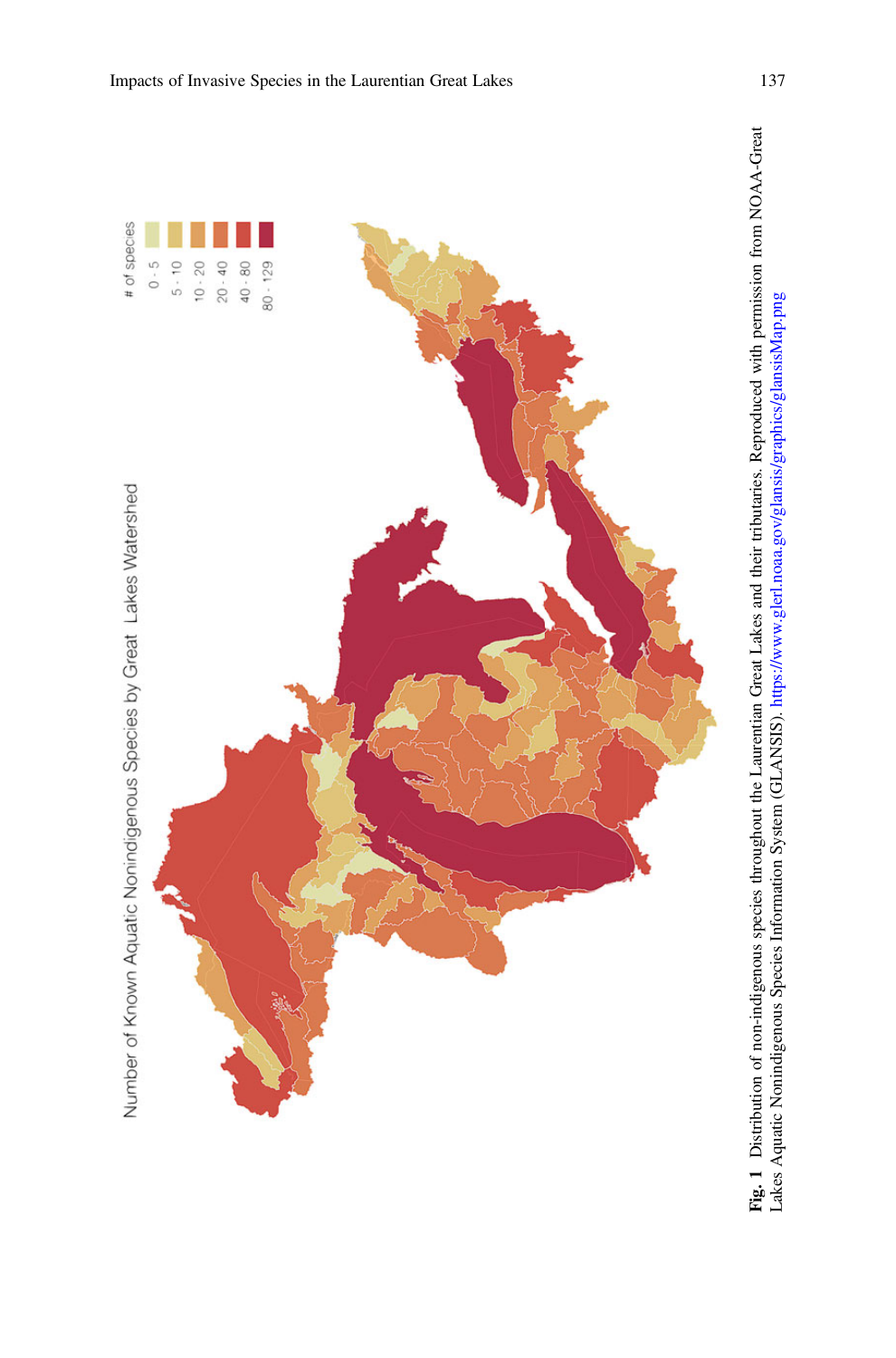

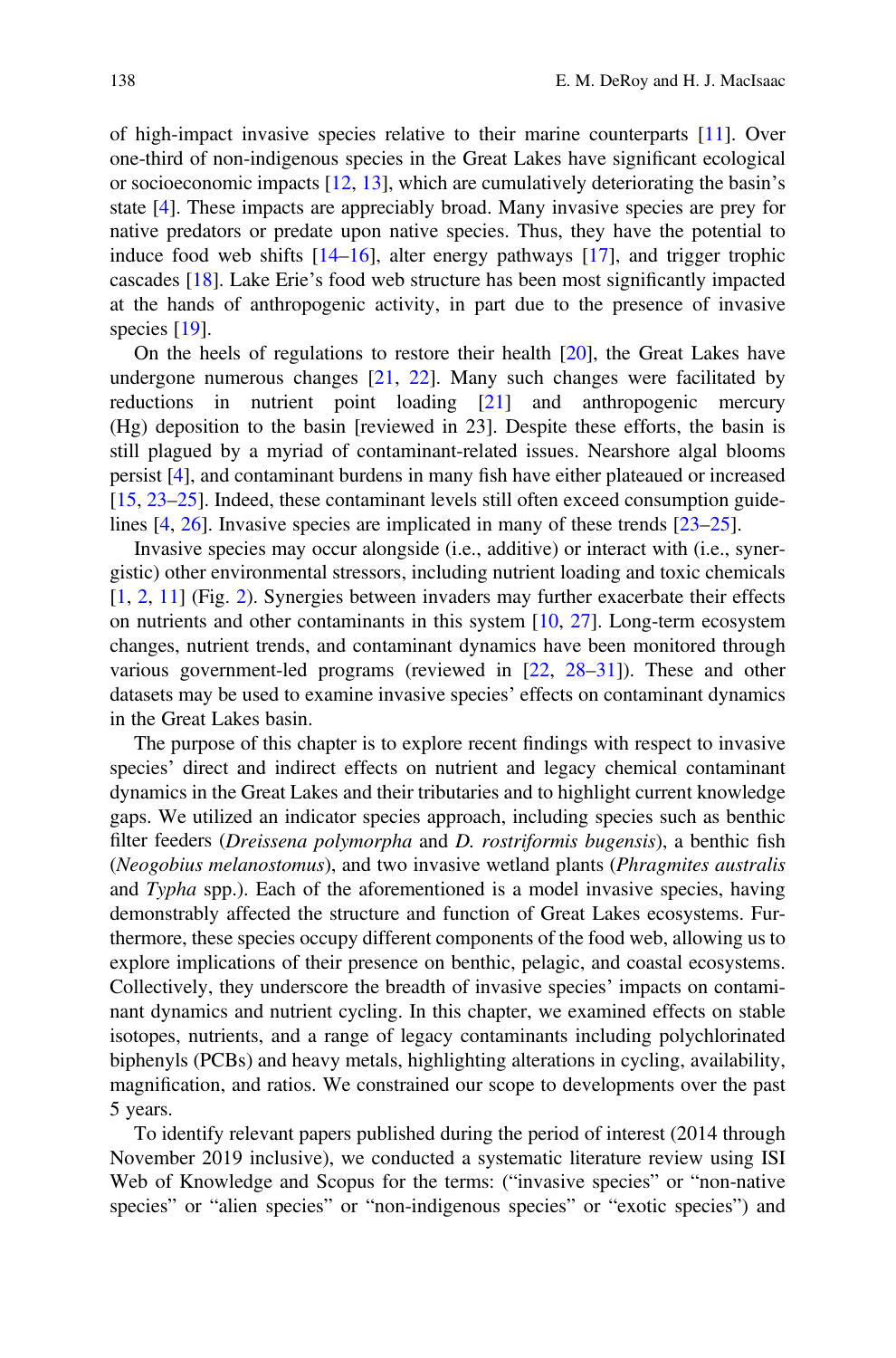of high-impact invasive species relative to their marine counterparts [11]. Over one-third of non-indigenous species in the Great Lakes have significant ecological or socioeconomic impacts [12, 13], which are cumulatively deteriorating the basin's state [4]. These impacts are appreciably broad. Many invasive species are prey for native predators or predate upon native species. Thus, they have the potential to induce food web shifts [14–16], alter energy pathways [17], and trigger trophic cascades [18]. Lake Erie's food web structure has been most significantly impacted at the hands of anthropogenic activity, in part due to the presence of invasive species [19].

On the heels of regulations to restore their health [20], the Great Lakes have undergone numerous changes  $[21, 22]$ . Many such changes were facilitated by reductions in nutrient point loading [21] and anthropogenic mercury (Hg) deposition to the basin [reviewed in 23]. Despite these efforts, the basin is still plagued by a myriad of contaminant-related issues. Nearshore algal blooms persist [4], and contaminant burdens in many fish have either plateaued or increased [15, 23–25]. Indeed, these contaminant levels still often exceed consumption guidelines [4, 26]. Invasive species are implicated in many of these trends [23–25].

Invasive species may occur alongside (i.e., additive) or interact with (i.e., synergistic) other environmental stressors, including nutrient loading and toxic chemicals [1, 2, 11] (Fig. 2). Synergies between invaders may further exacerbate their effects on nutrients and other contaminants in this system [10, 27]. Long-term ecosystem changes, nutrient trends, and contaminant dynamics have been monitored through various government-led programs (reviewed in [22, 28–31]). These and other datasets may be used to examine invasive species' effects on contaminant dynamics in the Great Lakes basin.

The purpose of this chapter is to explore recent findings with respect to invasive species' direct and indirect effects on nutrient and legacy chemical contaminant dynamics in the Great Lakes and their tributaries and to highlight current knowledge gaps. We utilized an indicator species approach, including species such as benthic filter feeders (Dreissena polymorpha and D. rostriformis bugensis), a benthic fish (Neogobius melanostomus), and two invasive wetland plants (Phragmites australis and Typha spp.). Each of the aforementioned is a model invasive species, having demonstrably affected the structure and function of Great Lakes ecosystems. Furthermore, these species occupy different components of the food web, allowing us to explore implications of their presence on benthic, pelagic, and coastal ecosystems. Collectively, they underscore the breadth of invasive species' impacts on contaminant dynamics and nutrient cycling. In this chapter, we examined effects on stable isotopes, nutrients, and a range of legacy contaminants including polychlorinated biphenyls (PCBs) and heavy metals, highlighting alterations in cycling, availability, magnification, and ratios. We constrained our scope to developments over the past 5 years.

To identify relevant papers published during the period of interest (2014 through November 2019 inclusive), we conducted a systematic literature review using ISI Web of Knowledge and Scopus for the terms: ("invasive species" or "non-native species" or "alien species" or "non-indigenous species" or "exotic species") and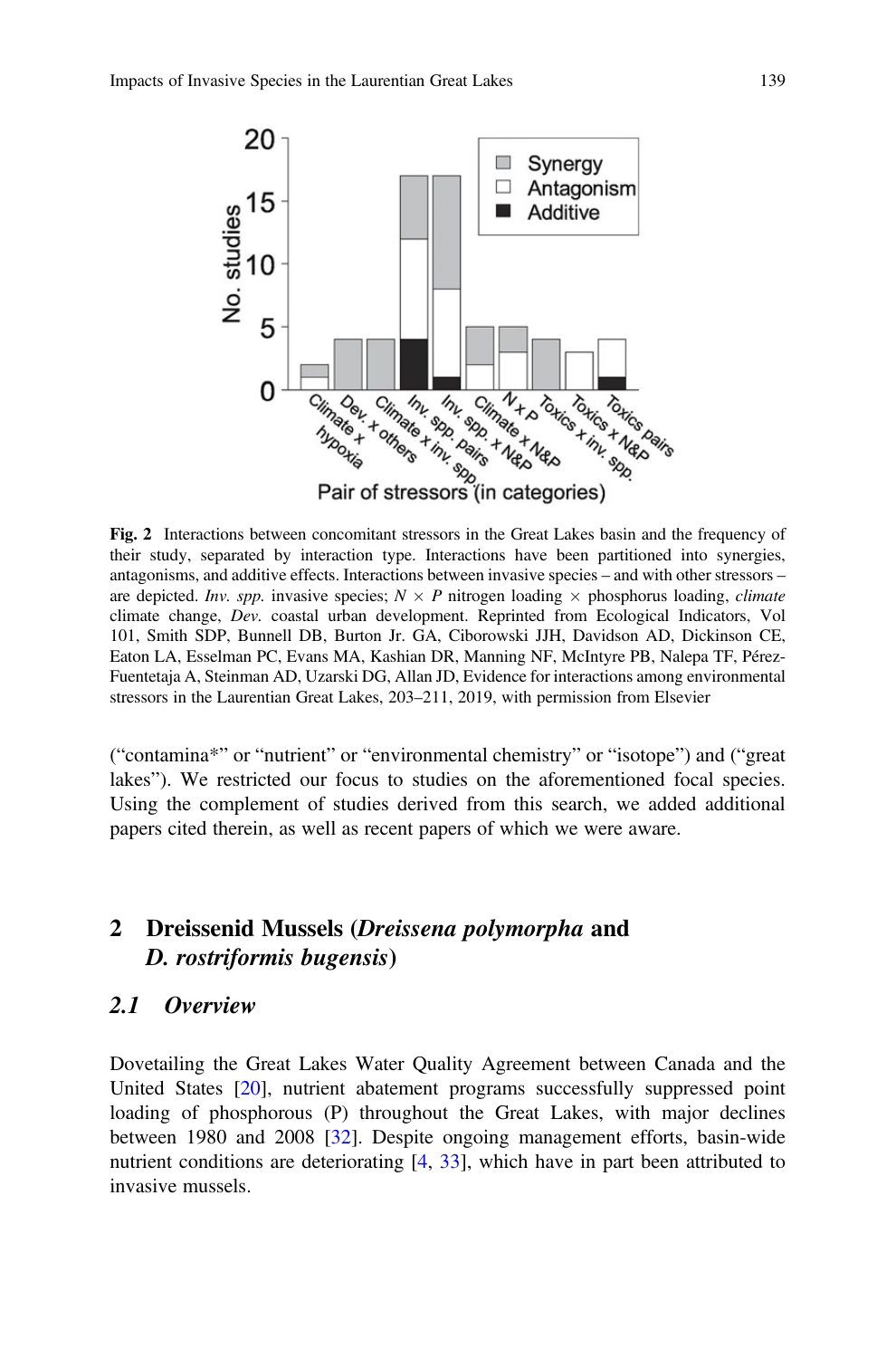

Fig. 2 Interactions between concomitant stressors in the Great Lakes basin and the frequency of their study, separated by interaction type. Interactions have been partitioned into synergies, antagonisms, and additive effects. Interactions between invasive species – and with other stressors – are depicted. Inv. spp. invasive species;  $N \times P$  nitrogen loading  $\times$  phosphorus loading, *climate* climate change, Dev. coastal urban development. Reprinted from Ecological Indicators, Vol 101, Smith SDP, Bunnell DB, Burton Jr. GA, Ciborowski JJH, Davidson AD, Dickinson CE, Eaton LA, Esselman PC, Evans MA, Kashian DR, Manning NF, McIntyre PB, Nalepa TF, Pérez-Fuentetaja A, Steinman AD, Uzarski DG, Allan JD, Evidence for interactions among environmental stressors in the Laurentian Great Lakes, 203–211, 2019, with permission from Elsevier

("contamina\*" or "nutrient" or "environmental chemistry" or "isotope") and ("great lakes"). We restricted our focus to studies on the aforementioned focal species. Using the complement of studies derived from this search, we added additional papers cited therein, as well as recent papers of which we were aware.

# 2 Dreissenid Mussels (Dreissena polymorpha and D. rostriformis bugensis)

#### 2.1 Overview

Dovetailing the Great Lakes Water Quality Agreement between Canada and the United States [20], nutrient abatement programs successfully suppressed point loading of phosphorous (P) throughout the Great Lakes, with major declines between 1980 and 2008 [32]. Despite ongoing management efforts, basin-wide nutrient conditions are deteriorating [4, 33], which have in part been attributed to invasive mussels.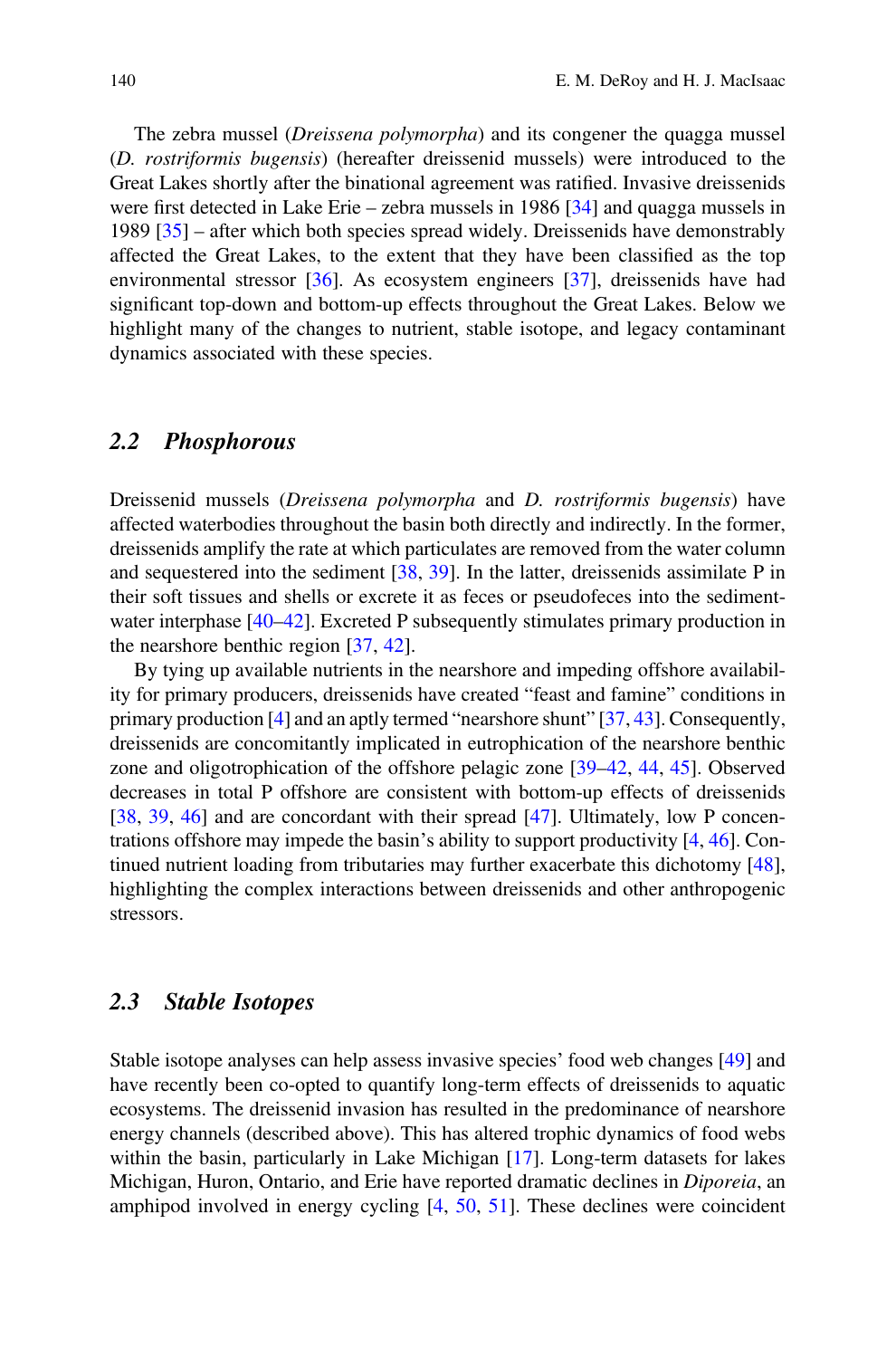The zebra mussel (Dreissena polymorpha) and its congener the quagga mussel (D. rostriformis bugensis) (hereafter dreissenid mussels) were introduced to the Great Lakes shortly after the binational agreement was ratified. Invasive dreissenids were first detected in Lake Erie – zebra mussels in 1986 [34] and quagga mussels in 1989  $[35]$  – after which both species spread widely. Dreissenids have demonstrably affected the Great Lakes, to the extent that they have been classified as the top environmental stressor [36]. As ecosystem engineers [37], dreissenids have had significant top-down and bottom-up effects throughout the Great Lakes. Below we highlight many of the changes to nutrient, stable isotope, and legacy contaminant dynamics associated with these species.

#### 2.2 Phosphorous

Dreissenid mussels (Dreissena polymorpha and D. rostriformis bugensis) have affected waterbodies throughout the basin both directly and indirectly. In the former, dreissenids amplify the rate at which particulates are removed from the water column and sequestered into the sediment [38, 39]. In the latter, dreissenids assimilate P in their soft tissues and shells or excrete it as feces or pseudofeces into the sedimentwater interphase [40–42]. Excreted P subsequently stimulates primary production in the nearshore benthic region [37, 42].

By tying up available nutrients in the nearshore and impeding offshore availability for primary producers, dreissenids have created "feast and famine" conditions in primary production [4] and an aptly termed "nearshore shunt" [37, 43]. Consequently, dreissenids are concomitantly implicated in eutrophication of the nearshore benthic zone and oligotrophication of the offshore pelagic zone [39–42, 44, 45]. Observed decreases in total P offshore are consistent with bottom-up effects of dreissenids [38, 39, 46] and are concordant with their spread [47]. Ultimately, low P concentrations offshore may impede the basin's ability to support productivity [4, 46]. Continued nutrient loading from tributaries may further exacerbate this dichotomy [48], highlighting the complex interactions between dreissenids and other anthropogenic stressors.

#### 2.3 Stable Isotopes

Stable isotope analyses can help assess invasive species' food web changes [49] and have recently been co-opted to quantify long-term effects of dreissenids to aquatic ecosystems. The dreissenid invasion has resulted in the predominance of nearshore energy channels (described above). This has altered trophic dynamics of food webs within the basin, particularly in Lake Michigan [17]. Long-term datasets for lakes Michigan, Huron, Ontario, and Erie have reported dramatic declines in Diporeia, an amphipod involved in energy cycling  $[4, 50, 51]$ . These declines were coincident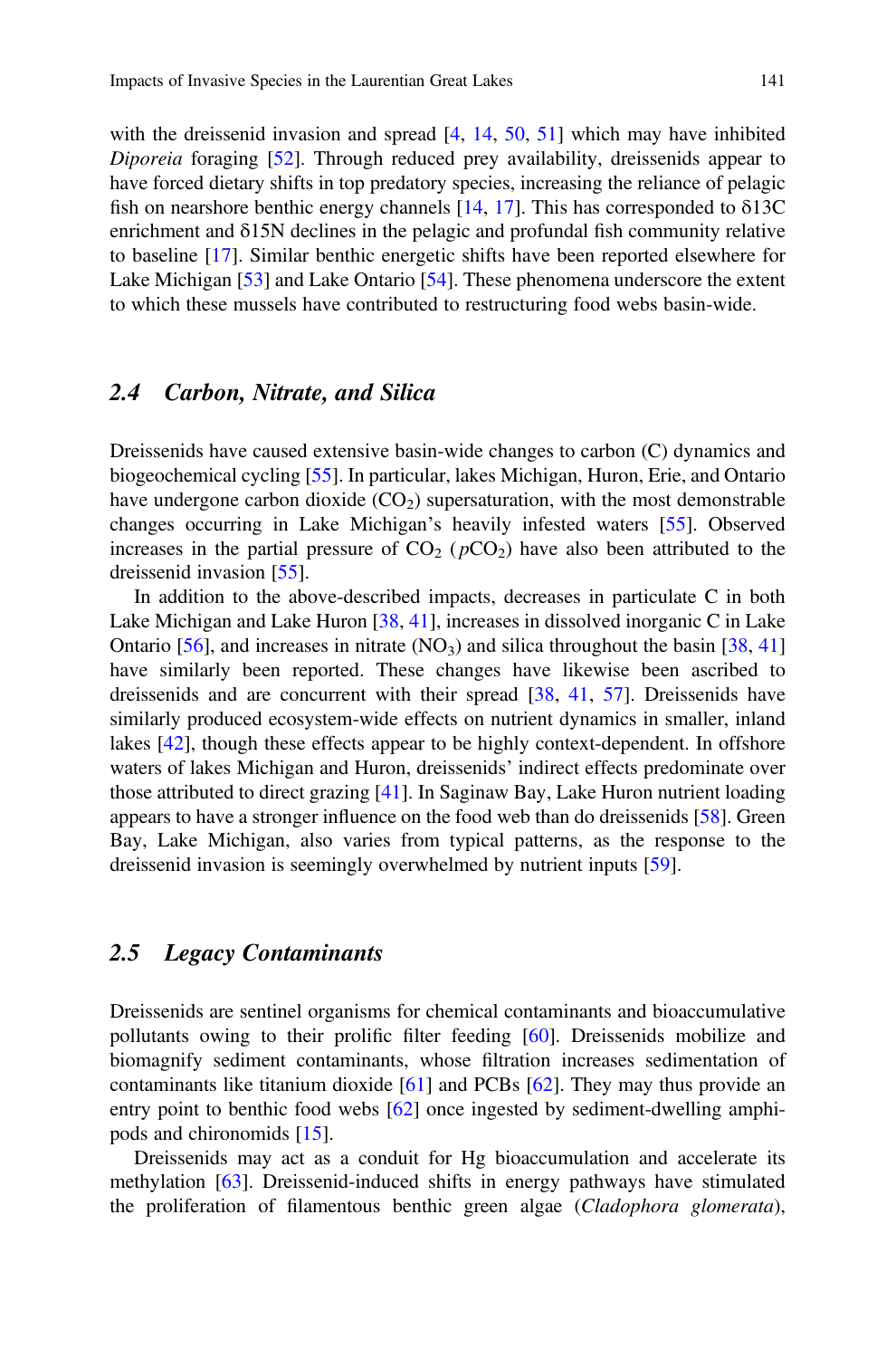with the dreissenid invasion and spread [4, 14, 50, 51] which may have inhibited Diporeia foraging [52]. Through reduced prey availability, dreissenids appear to have forced dietary shifts in top predatory species, increasing the reliance of pelagic fish on nearshore benthic energy channels  $[14, 17]$ . This has corresponded to  $\delta$ 13C enrichment and δ15N declines in the pelagic and profundal fish community relative to baseline [17]. Similar benthic energetic shifts have been reported elsewhere for Lake Michigan [53] and Lake Ontario [54]. These phenomena underscore the extent to which these mussels have contributed to restructuring food webs basin-wide.

## 2.4 Carbon, Nitrate, and Silica

Dreissenids have caused extensive basin-wide changes to carbon (C) dynamics and biogeochemical cycling [55]. In particular, lakes Michigan, Huron, Erie, and Ontario have undergone carbon dioxide  $(CO<sub>2</sub>)$  supersaturation, with the most demonstrable changes occurring in Lake Michigan's heavily infested waters [55]. Observed increases in the partial pressure of  $CO<sub>2</sub>$  ( $pCO<sub>2</sub>$ ) have also been attributed to the dreissenid invasion [55].

In addition to the above-described impacts, decreases in particulate C in both Lake Michigan and Lake Huron [38, 41], increases in dissolved inorganic C in Lake Ontario [56], and increases in nitrate  $(NO_3)$  and silica throughout the basin [38, 41] have similarly been reported. These changes have likewise been ascribed to dreissenids and are concurrent with their spread [38, 41, 57]. Dreissenids have similarly produced ecosystem-wide effects on nutrient dynamics in smaller, inland lakes [42], though these effects appear to be highly context-dependent. In offshore waters of lakes Michigan and Huron, dreissenids' indirect effects predominate over those attributed to direct grazing [41]. In Saginaw Bay, Lake Huron nutrient loading appears to have a stronger influence on the food web than do dreissenids [58]. Green Bay, Lake Michigan, also varies from typical patterns, as the response to the dreissenid invasion is seemingly overwhelmed by nutrient inputs [59].

#### 2.5 Legacy Contaminants

Dreissenids are sentinel organisms for chemical contaminants and bioaccumulative pollutants owing to their prolific filter feeding [60]. Dreissenids mobilize and biomagnify sediment contaminants, whose filtration increases sedimentation of contaminants like titanium dioxide [61] and PCBs [62]. They may thus provide an entry point to benthic food webs [62] once ingested by sediment-dwelling amphipods and chironomids [15].

Dreissenids may act as a conduit for Hg bioaccumulation and accelerate its methylation [63]. Dreissenid-induced shifts in energy pathways have stimulated the proliferation of filamentous benthic green algae (Cladophora glomerata),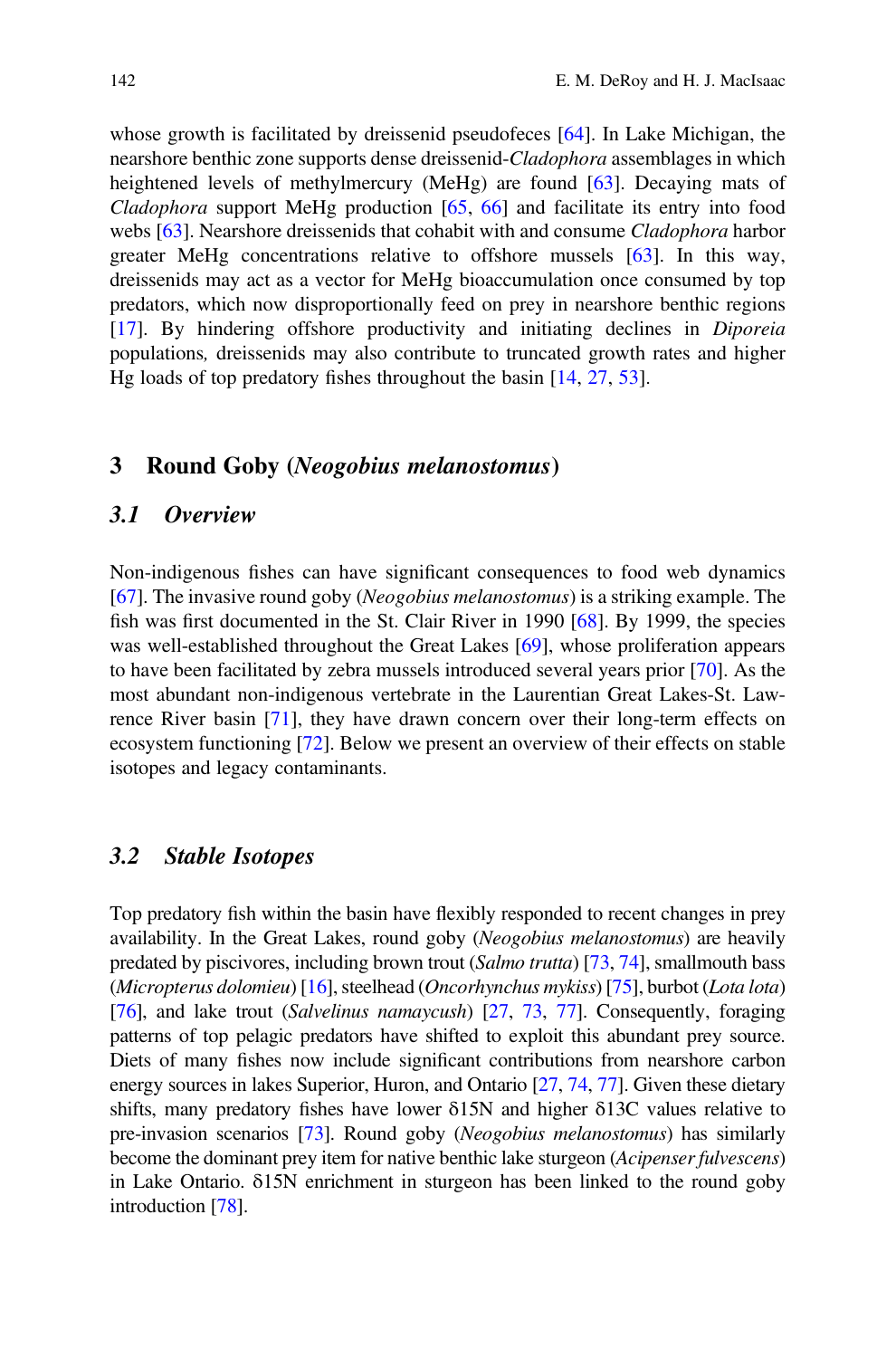whose growth is facilitated by dreissenid pseudofeces [64]. In Lake Michigan, the nearshore benthic zone supports dense dreissenid-Cladophora assemblages in which heightened levels of methylmercury (MeHg) are found [63]. Decaying mats of *Cladophora* support MeHg production  $[65, 66]$  and facilitate its entry into food webs [63]. Nearshore dreissenids that cohabit with and consume *Cladophora* harbor greater MeHg concentrations relative to offshore mussels [63]. In this way, dreissenids may act as a vector for MeHg bioaccumulation once consumed by top predators, which now disproportionally feed on prey in nearshore benthic regions [17]. By hindering offshore productivity and initiating declines in Diporeia populations, dreissenids may also contribute to truncated growth rates and higher Hg loads of top predatory fishes throughout the basin [14, 27, 53].

#### 3 Round Goby (Neogobius melanostomus)

#### 3.1 Overview

Non-indigenous fishes can have significant consequences to food web dynamics [67]. The invasive round goby (Neogobius melanostomus) is a striking example. The fish was first documented in the St. Clair River in 1990 [68]. By 1999, the species was well-established throughout the Great Lakes [69], whose proliferation appears to have been facilitated by zebra mussels introduced several years prior [70]. As the most abundant non-indigenous vertebrate in the Laurentian Great Lakes-St. Lawrence River basin [71], they have drawn concern over their long-term effects on ecosystem functioning [72]. Below we present an overview of their effects on stable isotopes and legacy contaminants.

#### 3.2 Stable Isotopes

Top predatory fish within the basin have flexibly responded to recent changes in prey availability. In the Great Lakes, round goby (Neogobius melanostomus) are heavily predated by piscivores, including brown trout (Salmo trutta) [73, 74], smallmouth bass (Micropterus dolomieu) [16], steelhead (Oncorhynchus mykiss) [75], burbot (Lota lota) [76], and lake trout (Salvelinus namaycush) [27, 73, 77]. Consequently, foraging patterns of top pelagic predators have shifted to exploit this abundant prey source. Diets of many fishes now include significant contributions from nearshore carbon energy sources in lakes Superior, Huron, and Ontario [27, 74, 77]. Given these dietary shifts, many predatory fishes have lower δ15N and higher δ13C values relative to pre-invasion scenarios [73]. Round goby (Neogobius melanostomus) has similarly become the dominant prey item for native benthic lake sturgeon (Acipenser fulvescens) in Lake Ontario. δ15N enrichment in sturgeon has been linked to the round goby introduction [78].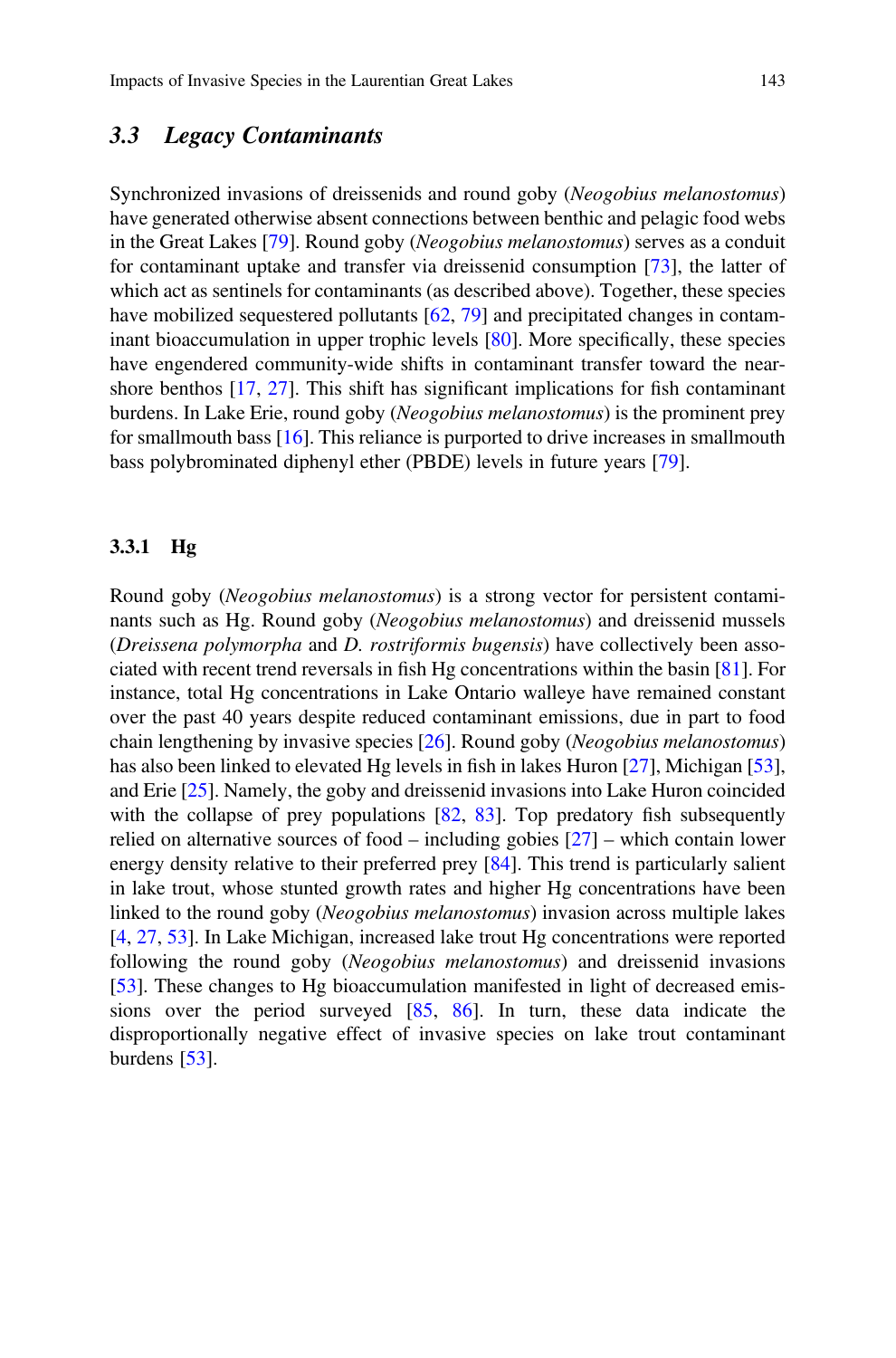### 3.3 Legacy Contaminants

Synchronized invasions of dreissenids and round goby (Neogobius melanostomus) have generated otherwise absent connections between benthic and pelagic food webs in the Great Lakes [79]. Round goby (Neogobius melanostomus) serves as a conduit for contaminant uptake and transfer via dreissenid consumption [73], the latter of which act as sentinels for contaminants (as described above). Together, these species have mobilized sequestered pollutants [62, 79] and precipitated changes in contaminant bioaccumulation in upper trophic levels [80]. More specifically, these species have engendered community-wide shifts in contaminant transfer toward the nearshore benthos [17, 27]. This shift has significant implications for fish contaminant burdens. In Lake Erie, round goby (Neogobius melanostomus) is the prominent prey for smallmouth bass [16]. This reliance is purported to drive increases in smallmouth bass polybrominated diphenyl ether (PBDE) levels in future years [79].

#### 3.3.1 Hg

Round goby (Neogobius melanostomus) is a strong vector for persistent contaminants such as Hg. Round goby (Neogobius melanostomus) and dreissenid mussels (Dreissena polymorpha and D. rostriformis bugensis) have collectively been associated with recent trend reversals in fish Hg concentrations within the basin [81]. For instance, total Hg concentrations in Lake Ontario walleye have remained constant over the past 40 years despite reduced contaminant emissions, due in part to food chain lengthening by invasive species [26]. Round goby (Neogobius melanostomus) has also been linked to elevated Hg levels in fish in lakes Huron [27], Michigan [53], and Erie [25]. Namely, the goby and dreissenid invasions into Lake Huron coincided with the collapse of prey populations  $[82, 83]$ . Top predatory fish subsequently relied on alternative sources of food – including gobies [27] – which contain lower energy density relative to their preferred prey [84]. This trend is particularly salient in lake trout, whose stunted growth rates and higher Hg concentrations have been linked to the round goby (Neogobius melanostomus) invasion across multiple lakes [4, 27, 53]. In Lake Michigan, increased lake trout Hg concentrations were reported following the round goby (Neogobius melanostomus) and dreissenid invasions [53]. These changes to Hg bioaccumulation manifested in light of decreased emissions over the period surveyed [85, 86]. In turn, these data indicate the disproportionally negative effect of invasive species on lake trout contaminant burdens [53].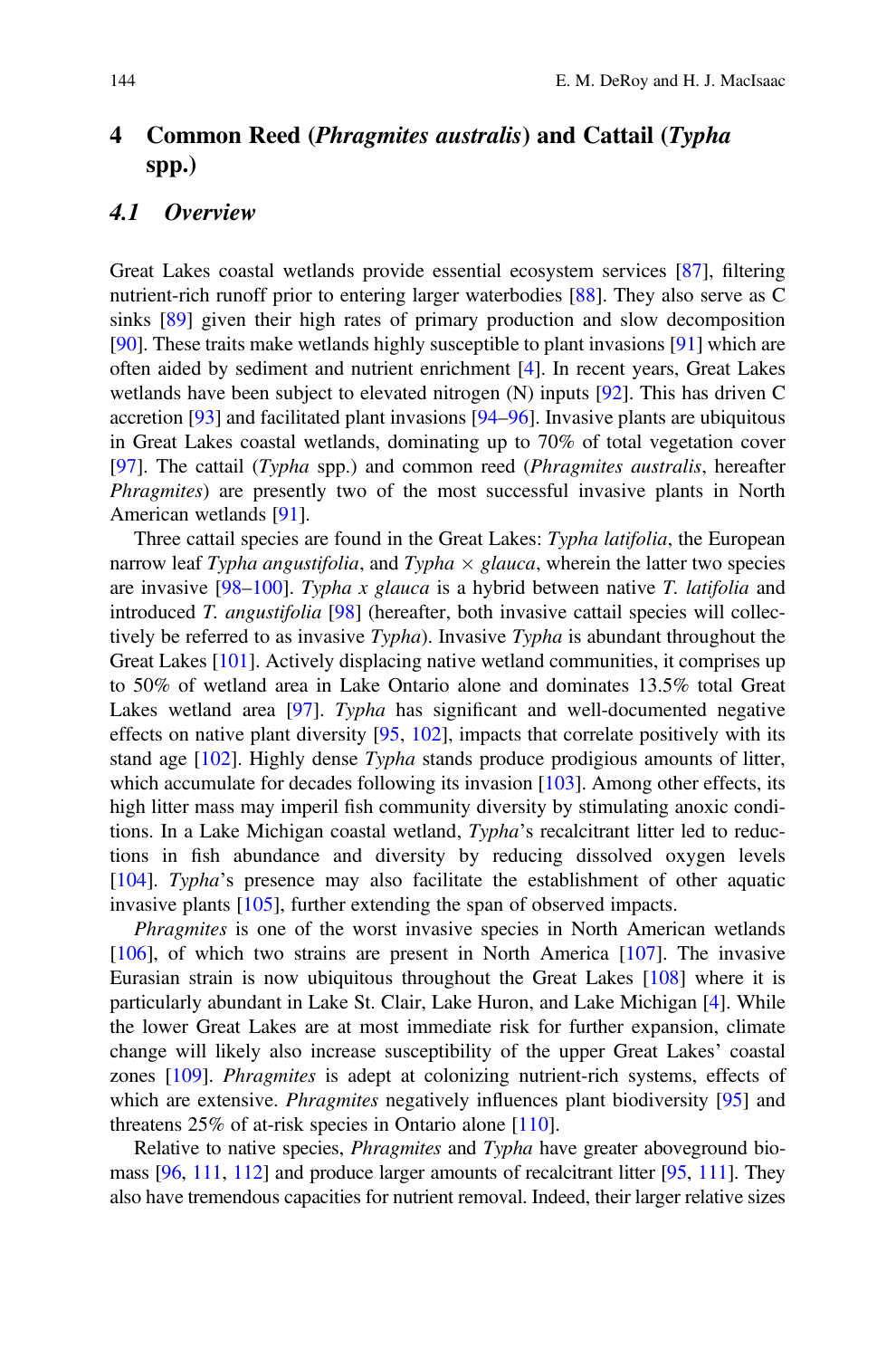# 4 Common Reed (Phragmites australis) and Cattail (Typha spp.)

#### 4.1 Overview

Great Lakes coastal wetlands provide essential ecosystem services [87], filtering nutrient-rich runoff prior to entering larger waterbodies [88]. They also serve as C sinks [89] given their high rates of primary production and slow decomposition [90]. These traits make wetlands highly susceptible to plant invasions [91] which are often aided by sediment and nutrient enrichment [4]. In recent years, Great Lakes wetlands have been subject to elevated nitrogen (N) inputs [92]. This has driven C accretion [93] and facilitated plant invasions [94–96]. Invasive plants are ubiquitous in Great Lakes coastal wetlands, dominating up to 70% of total vegetation cover [97]. The cattail (Typha spp.) and common reed (Phragmites australis, hereafter Phragmites) are presently two of the most successful invasive plants in North American wetlands [91].

Three cattail species are found in the Great Lakes: Typha latifolia, the European narrow leaf Typha angustifolia, and Typha  $\times$  glauca, wherein the latter two species are invasive  $[98-100]$ . Typha x glauca is a hybrid between native T. latifolia and introduced T. angustifolia [98] (hereafter, both invasive cattail species will collectively be referred to as invasive Typha). Invasive Typha is abundant throughout the Great Lakes [101]. Actively displacing native wetland communities, it comprises up to 50% of wetland area in Lake Ontario alone and dominates 13.5% total Great Lakes wetland area [97]. Typha has significant and well-documented negative effects on native plant diversity [95, 102], impacts that correlate positively with its stand age [102]. Highly dense Typha stands produce prodigious amounts of litter, which accumulate for decades following its invasion [103]. Among other effects, its high litter mass may imperil fish community diversity by stimulating anoxic conditions. In a Lake Michigan coastal wetland, Typha's recalcitrant litter led to reductions in fish abundance and diversity by reducing dissolved oxygen levels [104]. Typha's presence may also facilitate the establishment of other aquatic invasive plants [105], further extending the span of observed impacts.

*Phragmites* is one of the worst invasive species in North American wetlands [106], of which two strains are present in North America [107]. The invasive Eurasian strain is now ubiquitous throughout the Great Lakes [108] where it is particularly abundant in Lake St. Clair, Lake Huron, and Lake Michigan [4]. While the lower Great Lakes are at most immediate risk for further expansion, climate change will likely also increase susceptibility of the upper Great Lakes' coastal zones [109]. Phragmites is adept at colonizing nutrient-rich systems, effects of which are extensive. *Phragmites* negatively influences plant biodiversity [95] and threatens 25% of at-risk species in Ontario alone [110].

Relative to native species, *Phragmites* and *Typha* have greater aboveground biomass [96, 111, 112] and produce larger amounts of recalcitrant litter [95, 111]. They also have tremendous capacities for nutrient removal. Indeed, their larger relative sizes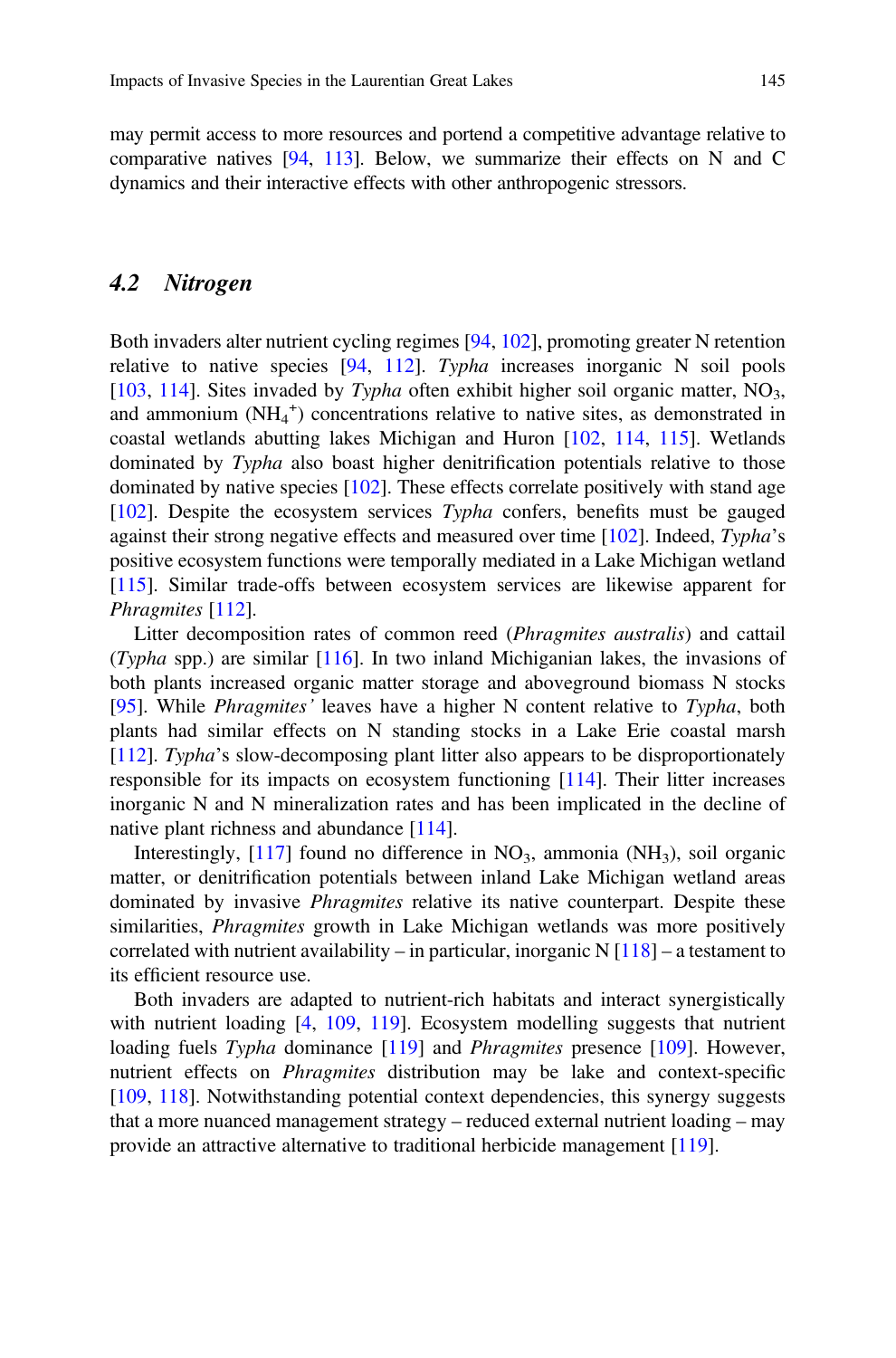may permit access to more resources and portend a competitive advantage relative to comparative natives [94, 113]. Below, we summarize their effects on N and C dynamics and their interactive effects with other anthropogenic stressors.

### 4.2 Nitrogen

Both invaders alter nutrient cycling regimes [94, 102], promoting greater N retention relative to native species [94, 112]. Typha increases inorganic N soil pools [103, 114]. Sites invaded by Typha often exhibit higher soil organic matter,  $NO<sub>3</sub>$ , and ammonium  $(NH_4^+)$  concentrations relative to native sites, as demonstrated in coastal wetlands abutting lakes Michigan and Huron [102, 114, 115]. Wetlands dominated by *Typha* also boast higher denitrification potentials relative to those dominated by native species [102]. These effects correlate positively with stand age [102]. Despite the ecosystem services Typha confers, benefits must be gauged against their strong negative effects and measured over time [102]. Indeed, Typha's positive ecosystem functions were temporally mediated in a Lake Michigan wetland [115]. Similar trade-offs between ecosystem services are likewise apparent for Phragmites [112].

Litter decomposition rates of common reed (*Phragmites australis*) and cattail (Typha spp.) are similar  $[116]$ . In two inland Michiganian lakes, the invasions of both plants increased organic matter storage and aboveground biomass N stocks [95]. While Phragmites' leaves have a higher N content relative to Typha, both plants had similar effects on N standing stocks in a Lake Erie coastal marsh [112]. Typha's slow-decomposing plant litter also appears to be disproportionately responsible for its impacts on ecosystem functioning [114]. Their litter increases inorganic N and N mineralization rates and has been implicated in the decline of native plant richness and abundance [114].

Interestingly,  $[117]$  found no difference in NO<sub>3</sub>, ammonia (NH<sub>3</sub>), soil organic matter, or denitrification potentials between inland Lake Michigan wetland areas dominated by invasive *Phragmites* relative its native counterpart. Despite these similarities, *Phragmites* growth in Lake Michigan wetlands was more positively correlated with nutrient availability – in particular, inorganic  $N \left[118\right]$  – a testament to its efficient resource use.

Both invaders are adapted to nutrient-rich habitats and interact synergistically with nutrient loading [4, 109, 119]. Ecosystem modelling suggests that nutrient loading fuels *Typha* dominance [119] and *Phragmites* presence [109]. However, nutrient effects on Phragmites distribution may be lake and context-specific [109, 118]. Notwithstanding potential context dependencies, this synergy suggests that a more nuanced management strategy – reduced external nutrient loading – may provide an attractive alternative to traditional herbicide management [119].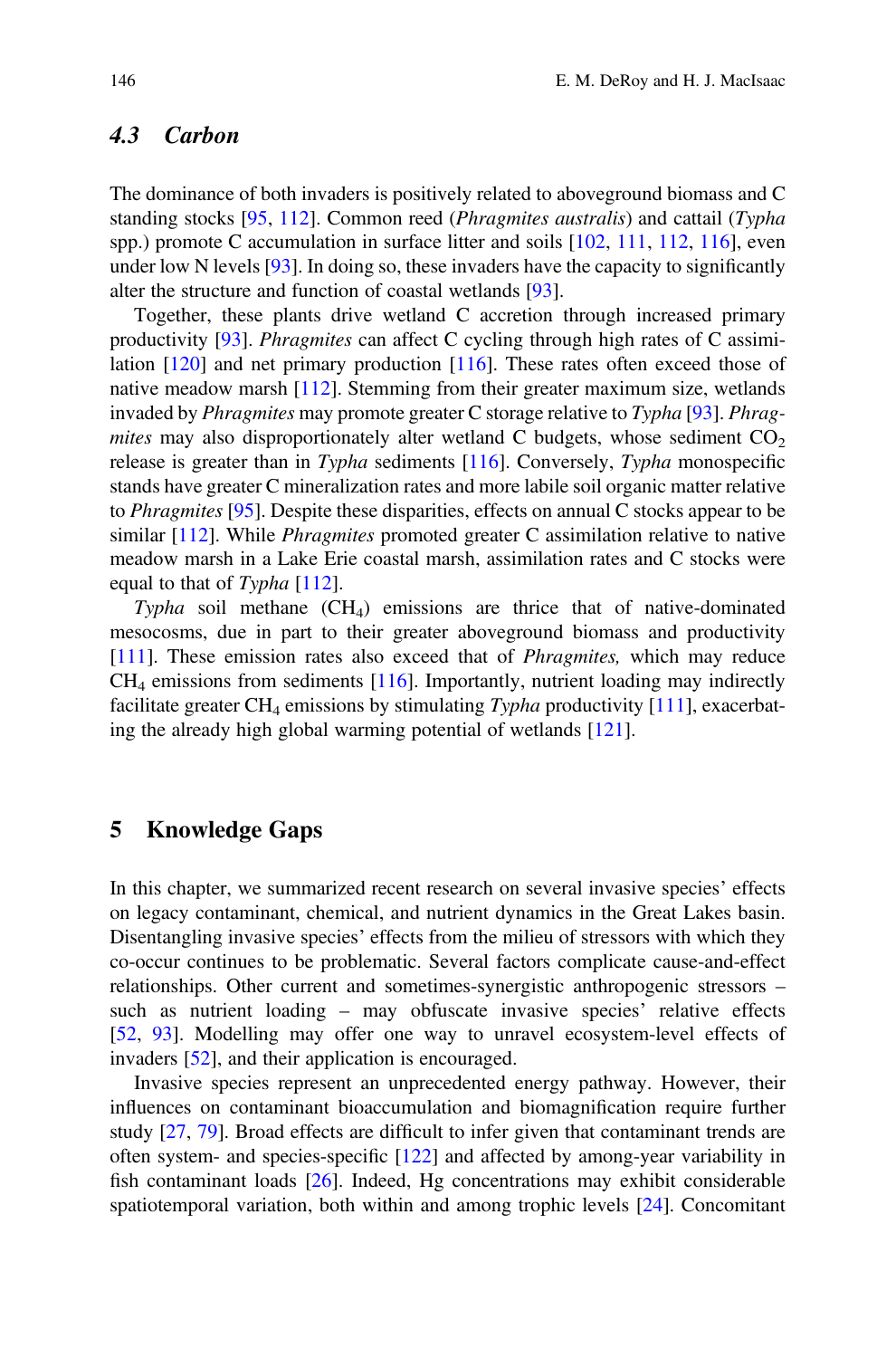## 4.3 Carbon

The dominance of both invaders is positively related to aboveground biomass and C standing stocks [95, 112]. Common reed (Phragmites australis) and cattail (Typha spp.) promote C accumulation in surface litter and soils [102, 111, 112, 116], even under low N levels [93]. In doing so, these invaders have the capacity to significantly alter the structure and function of coastal wetlands [93].

Together, these plants drive wetland C accretion through increased primary productivity [93]. Phragmites can affect C cycling through high rates of C assimilation [120] and net primary production [116]. These rates often exceed those of native meadow marsh [112]. Stemming from their greater maximum size, wetlands invaded by Phragmites may promote greater C storage relative to Typha [93]. Phragmites may also disproportionately alter wetland C budgets, whose sediment  $CO<sub>2</sub>$ release is greater than in Typha sediments [116]. Conversely, Typha monospecific stands have greater C mineralization rates and more labile soil organic matter relative to Phragmites [95]. Despite these disparities, effects on annual C stocks appear to be similar  $[112]$ . While *Phragmites* promoted greater C assimilation relative to native meadow marsh in a Lake Erie coastal marsh, assimilation rates and C stocks were equal to that of Typha [112].

Typha soil methane  $(CH_4)$  emissions are thrice that of native-dominated mesocosms, due in part to their greater aboveground biomass and productivity [111]. These emission rates also exceed that of Phragmites, which may reduce  $CH<sub>4</sub>$  emissions from sediments [116]. Importantly, nutrient loading may indirectly facilitate greater  $CH_4$  emissions by stimulating Typha productivity  $[111]$ , exacerbating the already high global warming potential of wetlands [121].

#### 5 Knowledge Gaps

In this chapter, we summarized recent research on several invasive species' effects on legacy contaminant, chemical, and nutrient dynamics in the Great Lakes basin. Disentangling invasive species' effects from the milieu of stressors with which they co-occur continues to be problematic. Several factors complicate cause-and-effect relationships. Other current and sometimes-synergistic anthropogenic stressors – such as nutrient loading – may obfuscate invasive species' relative effects [52, 93]. Modelling may offer one way to unravel ecosystem-level effects of invaders [52], and their application is encouraged.

Invasive species represent an unprecedented energy pathway. However, their influences on contaminant bioaccumulation and biomagnification require further study [27, 79]. Broad effects are difficult to infer given that contaminant trends are often system- and species-specific [122] and affected by among-year variability in fish contaminant loads [26]. Indeed, Hg concentrations may exhibit considerable spatiotemporal variation, both within and among trophic levels [24]. Concomitant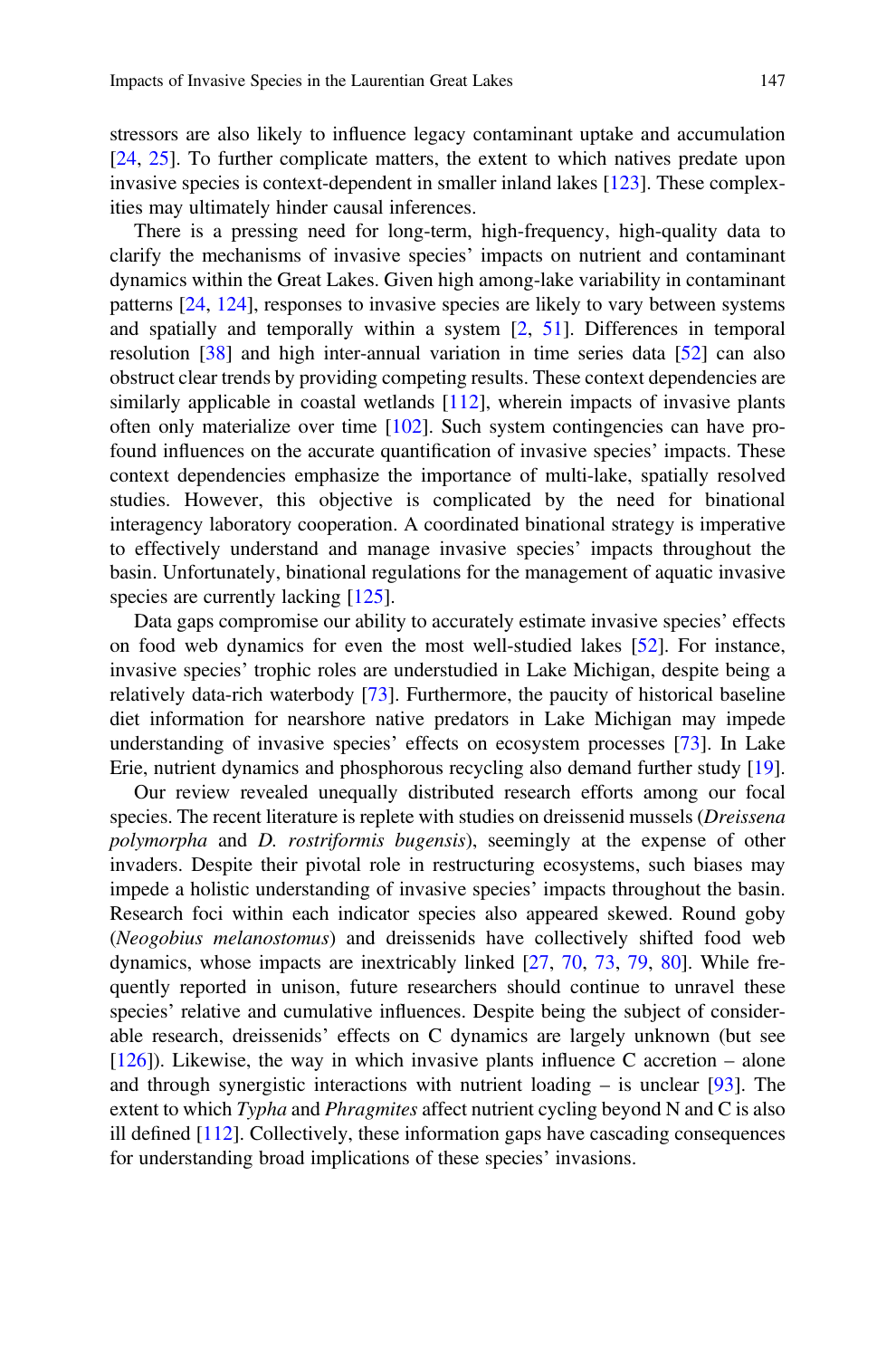stressors are also likely to influence legacy contaminant uptake and accumulation [24, 25]. To further complicate matters, the extent to which natives predate upon invasive species is context-dependent in smaller inland lakes [123]. These complexities may ultimately hinder causal inferences.

There is a pressing need for long-term, high-frequency, high-quality data to clarify the mechanisms of invasive species' impacts on nutrient and contaminant dynamics within the Great Lakes. Given high among-lake variability in contaminant patterns [24, 124], responses to invasive species are likely to vary between systems and spatially and temporally within a system [2, 51]. Differences in temporal resolution [38] and high inter-annual variation in time series data [52] can also obstruct clear trends by providing competing results. These context dependencies are similarly applicable in coastal wetlands [112], wherein impacts of invasive plants often only materialize over time  $[102]$ . Such system contingencies can have profound influences on the accurate quantification of invasive species' impacts. These context dependencies emphasize the importance of multi-lake, spatially resolved studies. However, this objective is complicated by the need for binational interagency laboratory cooperation. A coordinated binational strategy is imperative to effectively understand and manage invasive species' impacts throughout the basin. Unfortunately, binational regulations for the management of aquatic invasive species are currently lacking [125].

Data gaps compromise our ability to accurately estimate invasive species' effects on food web dynamics for even the most well-studied lakes [52]. For instance, invasive species' trophic roles are understudied in Lake Michigan, despite being a relatively data-rich waterbody [73]. Furthermore, the paucity of historical baseline diet information for nearshore native predators in Lake Michigan may impede understanding of invasive species' effects on ecosystem processes [73]. In Lake Erie, nutrient dynamics and phosphorous recycling also demand further study [19].

Our review revealed unequally distributed research efforts among our focal species. The recent literature is replete with studies on dreissenid mussels (Dreissena polymorpha and D. rostriformis bugensis), seemingly at the expense of other invaders. Despite their pivotal role in restructuring ecosystems, such biases may impede a holistic understanding of invasive species' impacts throughout the basin. Research foci within each indicator species also appeared skewed. Round goby (Neogobius melanostomus) and dreissenids have collectively shifted food web dynamics, whose impacts are inextricably linked [27, 70, 73, 79, 80]. While frequently reported in unison, future researchers should continue to unravel these species' relative and cumulative influences. Despite being the subject of considerable research, dreissenids' effects on C dynamics are largely unknown (but see [126]). Likewise, the way in which invasive plants influence C accretion – alone and through synergistic interactions with nutrient loading  $-$  is unclear [93]. The extent to which Typha and Phragmites affect nutrient cycling beyond N and C is also ill defined [112]. Collectively, these information gaps have cascading consequences for understanding broad implications of these species' invasions.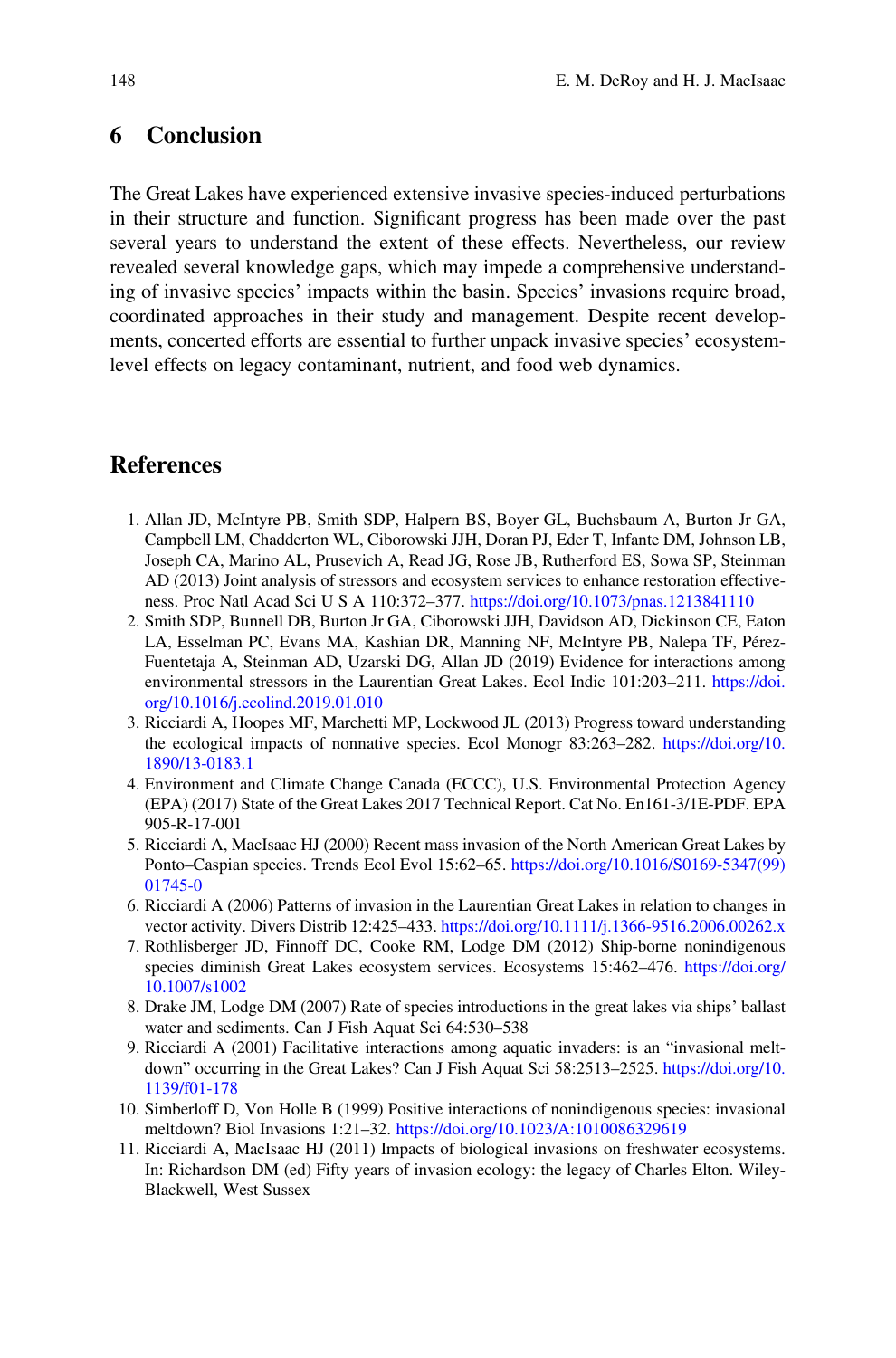## 6 Conclusion

The Great Lakes have experienced extensive invasive species-induced perturbations in their structure and function. Significant progress has been made over the past several years to understand the extent of these effects. Nevertheless, our review revealed several knowledge gaps, which may impede a comprehensive understanding of invasive species' impacts within the basin. Species' invasions require broad, coordinated approaches in their study and management. Despite recent developments, concerted efforts are essential to further unpack invasive species' ecosystemlevel effects on legacy contaminant, nutrient, and food web dynamics.

## **References**

- 1. Allan JD, McIntyre PB, Smith SDP, Halpern BS, Boyer GL, Buchsbaum A, Burton Jr GA, Campbell LM, Chadderton WL, Ciborowski JJH, Doran PJ, Eder T, Infante DM, Johnson LB, Joseph CA, Marino AL, Prusevich A, Read JG, Rose JB, Rutherford ES, Sowa SP, Steinman AD (2013) Joint analysis of stressors and ecosystem services to enhance restoration effectiveness. Proc Natl Acad Sci U S A 110:372–377. <https://doi.org/10.1073/pnas.1213841110>
- 2. Smith SDP, Bunnell DB, Burton Jr GA, Ciborowski JJH, Davidson AD, Dickinson CE, Eaton LA, Esselman PC, Evans MA, Kashian DR, Manning NF, McIntyre PB, Nalepa TF, Pérez-Fuentetaja A, Steinman AD, Uzarski DG, Allan JD (2019) Evidence for interactions among environmental stressors in the Laurentian Great Lakes. Ecol Indic 101:203–211. [https://doi.](https://doi.org/10.1016/j.ecolind.2019.01.010) [org/10.1016/j.ecolind.2019.01.010](https://doi.org/10.1016/j.ecolind.2019.01.010)
- 3. Ricciardi A, Hoopes MF, Marchetti MP, Lockwood JL (2013) Progress toward understanding the ecological impacts of nonnative species. Ecol Monogr 83:263–282. [https://doi.org/10.](https://doi.org/10.1890/13-0183.1) [1890/13-0183.1](https://doi.org/10.1890/13-0183.1)
- 4. Environment and Climate Change Canada (ECCC), U.S. Environmental Protection Agency (EPA) (2017) State of the Great Lakes 2017 Technical Report. Cat No. En161-3/1E-PDF. EPA 905-R-17-001
- 5. Ricciardi A, MacIsaac HJ (2000) Recent mass invasion of the North American Great Lakes by Ponto–Caspian species. Trends Ecol Evol 15:62–65. [https://doi.org/10.1016/S0169-5347\(99\)](https://doi.org/10.1016/S0169-5347(99)01745-0) [01745-0](https://doi.org/10.1016/S0169-5347(99)01745-0)
- 6. Ricciardi A (2006) Patterns of invasion in the Laurentian Great Lakes in relation to changes in vector activity. Divers Distrib 12:425–433. <https://doi.org/10.1111/j.1366-9516.2006.00262.x>
- 7. Rothlisberger JD, Finnoff DC, Cooke RM, Lodge DM (2012) Ship-borne nonindigenous species diminish Great Lakes ecosystem services. Ecosystems 15:462–476. [https://doi.org/](https://doi.org/10.1007/s1002) [10.1007/s1002](https://doi.org/10.1007/s1002)
- 8. Drake JM, Lodge DM (2007) Rate of species introductions in the great lakes via ships' ballast water and sediments. Can J Fish Aquat Sci 64:530–538
- 9. Ricciardi A (2001) Facilitative interactions among aquatic invaders: is an "invasional meltdown" occurring in the Great Lakes? Can J Fish Aquat Sci 58:2513–2525. [https://doi.org/10.](https://doi.org/10.1139/f01-178) [1139/f01-178](https://doi.org/10.1139/f01-178)
- 10. Simberloff D, Von Holle B (1999) Positive interactions of nonindigenous species: invasional meltdown? Biol Invasions 1:21–32. <https://doi.org/10.1023/A:1010086329619>
- 11. Ricciardi A, MacIsaac HJ (2011) Impacts of biological invasions on freshwater ecosystems. In: Richardson DM (ed) Fifty years of invasion ecology: the legacy of Charles Elton. Wiley-Blackwell, West Sussex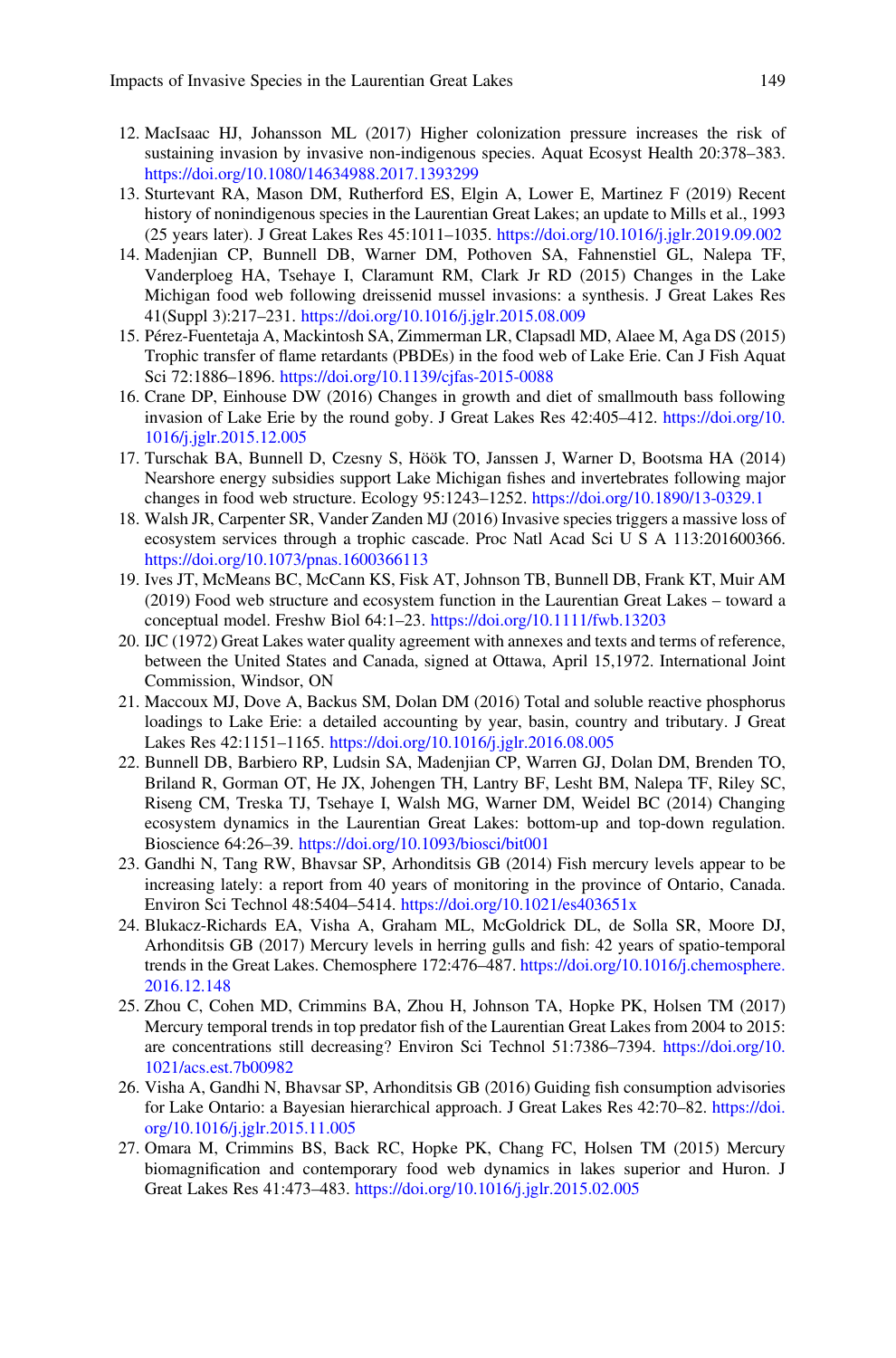- 12. MacIsaac HJ, Johansson ML (2017) Higher colonization pressure increases the risk of sustaining invasion by invasive non-indigenous species. Aquat Ecosyst Health 20:378–383. <https://doi.org/10.1080/14634988.2017.1393299>
- 13. Sturtevant RA, Mason DM, Rutherford ES, Elgin A, Lower E, Martinez F (2019) Recent history of nonindigenous species in the Laurentian Great Lakes; an update to Mills et al., 1993 (25 years later). J Great Lakes Res 45:1011–1035. <https://doi.org/10.1016/j.jglr.2019.09.002>
- 14. Madenjian CP, Bunnell DB, Warner DM, Pothoven SA, Fahnenstiel GL, Nalepa TF, Vanderploeg HA, Tsehaye I, Claramunt RM, Clark Jr RD (2015) Changes in the Lake Michigan food web following dreissenid mussel invasions: a synthesis. J Great Lakes Res 41(Suppl 3):217–231. <https://doi.org/10.1016/j.jglr.2015.08.009>
- 15. Pérez-Fuentetaja A, Mackintosh SA, Zimmerman LR, Clapsadl MD, Alaee M, Aga DS (2015) Trophic transfer of flame retardants (PBDEs) in the food web of Lake Erie. Can J Fish Aquat Sci 72:1886–1896. <https://doi.org/10.1139/cjfas-2015-0088>
- 16. Crane DP, Einhouse DW (2016) Changes in growth and diet of smallmouth bass following invasion of Lake Erie by the round goby. J Great Lakes Res 42:405–412. [https://doi.org/10.](https://doi.org/10.1016/j.jglr.2015.12.005) [1016/j.jglr.2015.12.005](https://doi.org/10.1016/j.jglr.2015.12.005)
- 17. Turschak BA, Bunnell D, Czesny S, Höök TO, Janssen J, Warner D, Bootsma HA (2014) Nearshore energy subsidies support Lake Michigan fishes and invertebrates following major changes in food web structure. Ecology 95:1243–1252. <https://doi.org/10.1890/13-0329.1>
- 18. Walsh JR, Carpenter SR, Vander Zanden MJ (2016) Invasive species triggers a massive loss of ecosystem services through a trophic cascade. Proc Natl Acad Sci U S A 113:201600366. <https://doi.org/10.1073/pnas.1600366113>
- 19. Ives JT, McMeans BC, McCann KS, Fisk AT, Johnson TB, Bunnell DB, Frank KT, Muir AM (2019) Food web structure and ecosystem function in the Laurentian Great Lakes – toward a conceptual model. Freshw Biol 64:1–23. <https://doi.org/10.1111/fwb.13203>
- 20. IJC (1972) Great Lakes water quality agreement with annexes and texts and terms of reference, between the United States and Canada, signed at Ottawa, April 15,1972. International Joint Commission, Windsor, ON
- 21. Maccoux MJ, Dove A, Backus SM, Dolan DM (2016) Total and soluble reactive phosphorus loadings to Lake Erie: a detailed accounting by year, basin, country and tributary. J Great Lakes Res 42:1151–1165. <https://doi.org/10.1016/j.jglr.2016.08.005>
- 22. Bunnell DB, Barbiero RP, Ludsin SA, Madenjian CP, Warren GJ, Dolan DM, Brenden TO, Briland R, Gorman OT, He JX, Johengen TH, Lantry BF, Lesht BM, Nalepa TF, Riley SC, Riseng CM, Treska TJ, Tsehaye I, Walsh MG, Warner DM, Weidel BC (2014) Changing ecosystem dynamics in the Laurentian Great Lakes: bottom-up and top-down regulation. Bioscience 64:26–39. <https://doi.org/10.1093/biosci/bit001>
- 23. Gandhi N, Tang RW, Bhavsar SP, Arhonditsis GB (2014) Fish mercury levels appear to be increasing lately: a report from 40 years of monitoring in the province of Ontario, Canada. Environ Sci Technol 48:5404–5414. <https://doi.org/10.1021/es403651x>
- 24. Blukacz-Richards EA, Visha A, Graham ML, McGoldrick DL, de Solla SR, Moore DJ, Arhonditsis GB (2017) Mercury levels in herring gulls and fish: 42 years of spatio-temporal trends in the Great Lakes. Chemosphere 172:476–487. [https://doi.org/10.1016/j.chemosphere.](https://doi.org/10.1016/j.chemosphere.2016.12.148) [2016.12.148](https://doi.org/10.1016/j.chemosphere.2016.12.148)
- 25. Zhou C, Cohen MD, Crimmins BA, Zhou H, Johnson TA, Hopke PK, Holsen TM (2017) Mercury temporal trends in top predator fish of the Laurentian Great Lakes from 2004 to 2015: are concentrations still decreasing? Environ Sci Technol 51:7386–7394. [https://doi.org/10.](https://doi.org/10.1021/acs.est.7b00982) [1021/acs.est.7b00982](https://doi.org/10.1021/acs.est.7b00982)
- 26. Visha A, Gandhi N, Bhavsar SP, Arhonditsis GB (2016) Guiding fish consumption advisories for Lake Ontario: a Bayesian hierarchical approach. J Great Lakes Res 42:70–82. [https://doi.](https://doi.org/10.1016/j.jglr.2015.11.005) [org/10.1016/j.jglr.2015.11.005](https://doi.org/10.1016/j.jglr.2015.11.005)
- 27. Omara M, Crimmins BS, Back RC, Hopke PK, Chang FC, Holsen TM (2015) Mercury biomagnification and contemporary food web dynamics in lakes superior and Huron. J Great Lakes Res 41:473–483. <https://doi.org/10.1016/j.jglr.2015.02.005>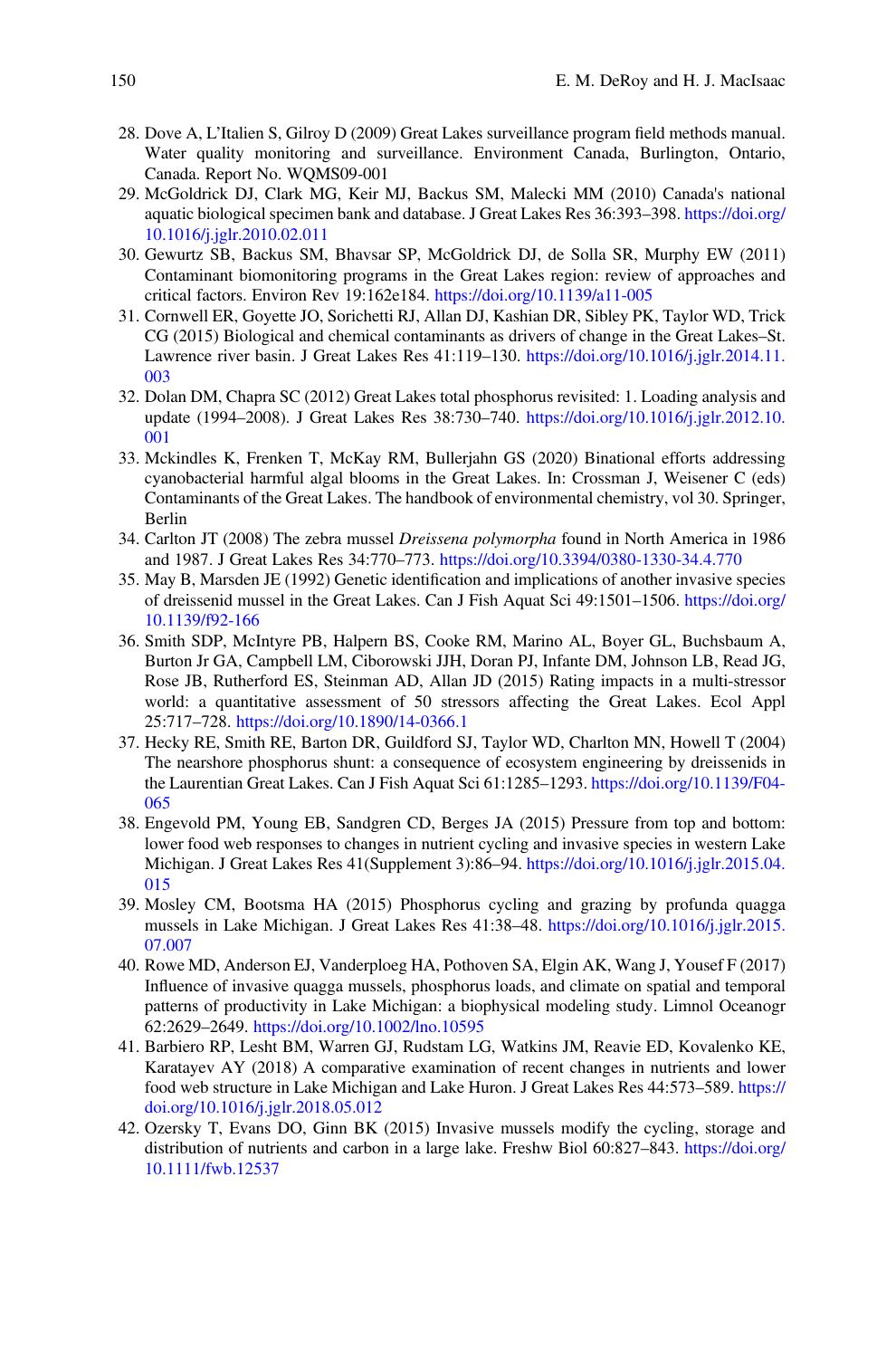- 28. Dove A, L'Italien S, Gilroy D (2009) Great Lakes surveillance program field methods manual. Water quality monitoring and surveillance. Environment Canada, Burlington, Ontario, Canada. Report No. WQMS09-001
- 29. McGoldrick DJ, Clark MG, Keir MJ, Backus SM, Malecki MM (2010) Canada's national aquatic biological specimen bank and database. J Great Lakes Res 36:393–398. [https://doi.org/](https://doi.org/10.1016/j.jglr.2010.02.011) [10.1016/j.jglr.2010.02.011](https://doi.org/10.1016/j.jglr.2010.02.011)
- 30. Gewurtz SB, Backus SM, Bhavsar SP, McGoldrick DJ, de Solla SR, Murphy EW (2011) Contaminant biomonitoring programs in the Great Lakes region: review of approaches and critical factors. Environ Rev 19:162e184. <https://doi.org/10.1139/a11-005>
- 31. Cornwell ER, Goyette JO, Sorichetti RJ, Allan DJ, Kashian DR, Sibley PK, Taylor WD, Trick CG (2015) Biological and chemical contaminants as drivers of change in the Great Lakes–St. Lawrence river basin. J Great Lakes Res 41:119–130. [https://doi.org/10.1016/j.jglr.2014.11.](https://doi.org/10.1016/j.jglr.2014.11.003) [003](https://doi.org/10.1016/j.jglr.2014.11.003)
- 32. Dolan DM, Chapra SC (2012) Great Lakes total phosphorus revisited: 1. Loading analysis and update (1994–2008). J Great Lakes Res 38:730–740. [https://doi.org/10.1016/j.jglr.2012.10.](https://doi.org/10.1016/j.jglr.2012.10.001) [001](https://doi.org/10.1016/j.jglr.2012.10.001)
- 33. Mckindles K, Frenken T, McKay RM, Bullerjahn GS (2020) Binational efforts addressing cyanobacterial harmful algal blooms in the Great Lakes. In: Crossman J, Weisener C (eds) Contaminants of the Great Lakes. The handbook of environmental chemistry, vol 30. Springer, Berlin
- 34. Carlton JT (2008) The zebra mussel Dreissena polymorpha found in North America in 1986 and 1987. J Great Lakes Res 34:770–773. <https://doi.org/10.3394/0380-1330-34.4.770>
- 35. May B, Marsden JE (1992) Genetic identification and implications of another invasive species of dreissenid mussel in the Great Lakes. Can J Fish Aquat Sci 49:1501–1506. [https://doi.org/](https://doi.org/10.1139/f92-166) [10.1139/f92-166](https://doi.org/10.1139/f92-166)
- 36. Smith SDP, McIntyre PB, Halpern BS, Cooke RM, Marino AL, Boyer GL, Buchsbaum A, Burton Jr GA, Campbell LM, Ciborowski JJH, Doran PJ, Infante DM, Johnson LB, Read JG, Rose JB, Rutherford ES, Steinman AD, Allan JD (2015) Rating impacts in a multi-stressor world: a quantitative assessment of 50 stressors affecting the Great Lakes. Ecol Appl 25:717–728. <https://doi.org/10.1890/14-0366.1>
- 37. Hecky RE, Smith RE, Barton DR, Guildford SJ, Taylor WD, Charlton MN, Howell T (2004) The nearshore phosphorus shunt: a consequence of ecosystem engineering by dreissenids in the Laurentian Great Lakes. Can J Fish Aquat Sci 61:1285–1293. [https://doi.org/10.1139/F04-](https://doi.org/10.1139/F04-065) [065](https://doi.org/10.1139/F04-065)
- 38. Engevold PM, Young EB, Sandgren CD, Berges JA (2015) Pressure from top and bottom: lower food web responses to changes in nutrient cycling and invasive species in western Lake Michigan. J Great Lakes Res 41(Supplement 3):86–94. [https://doi.org/10.1016/j.jglr.2015.04.](https://doi.org/10.1016/j.jglr.2015.04.015) [015](https://doi.org/10.1016/j.jglr.2015.04.015)
- 39. Mosley CM, Bootsma HA (2015) Phosphorus cycling and grazing by profunda quagga mussels in Lake Michigan. J Great Lakes Res 41:38–48. [https://doi.org/10.1016/j.jglr.2015.](https://doi.org/10.1016/j.jglr.2015.07.007) [07.007](https://doi.org/10.1016/j.jglr.2015.07.007)
- 40. Rowe MD, Anderson EJ, Vanderploeg HA, Pothoven SA, Elgin AK, Wang J, Yousef F (2017) Influence of invasive quagga mussels, phosphorus loads, and climate on spatial and temporal patterns of productivity in Lake Michigan: a biophysical modeling study. Limnol Oceanogr 62:2629–2649. <https://doi.org/10.1002/lno.10595>
- 41. Barbiero RP, Lesht BM, Warren GJ, Rudstam LG, Watkins JM, Reavie ED, Kovalenko KE, Karatayev AY (2018) A comparative examination of recent changes in nutrients and lower food web structure in Lake Michigan and Lake Huron. J Great Lakes Res 44:573–589. [https://](https://doi.org/10.1016/j.jglr.2018.05.012) [doi.org/10.1016/j.jglr.2018.05.012](https://doi.org/10.1016/j.jglr.2018.05.012)
- 42. Ozersky T, Evans DO, Ginn BK (2015) Invasive mussels modify the cycling, storage and distribution of nutrients and carbon in a large lake. Freshw Biol 60:827–843. [https://doi.org/](https://doi.org/10.1111/fwb.12537) [10.1111/fwb.12537](https://doi.org/10.1111/fwb.12537)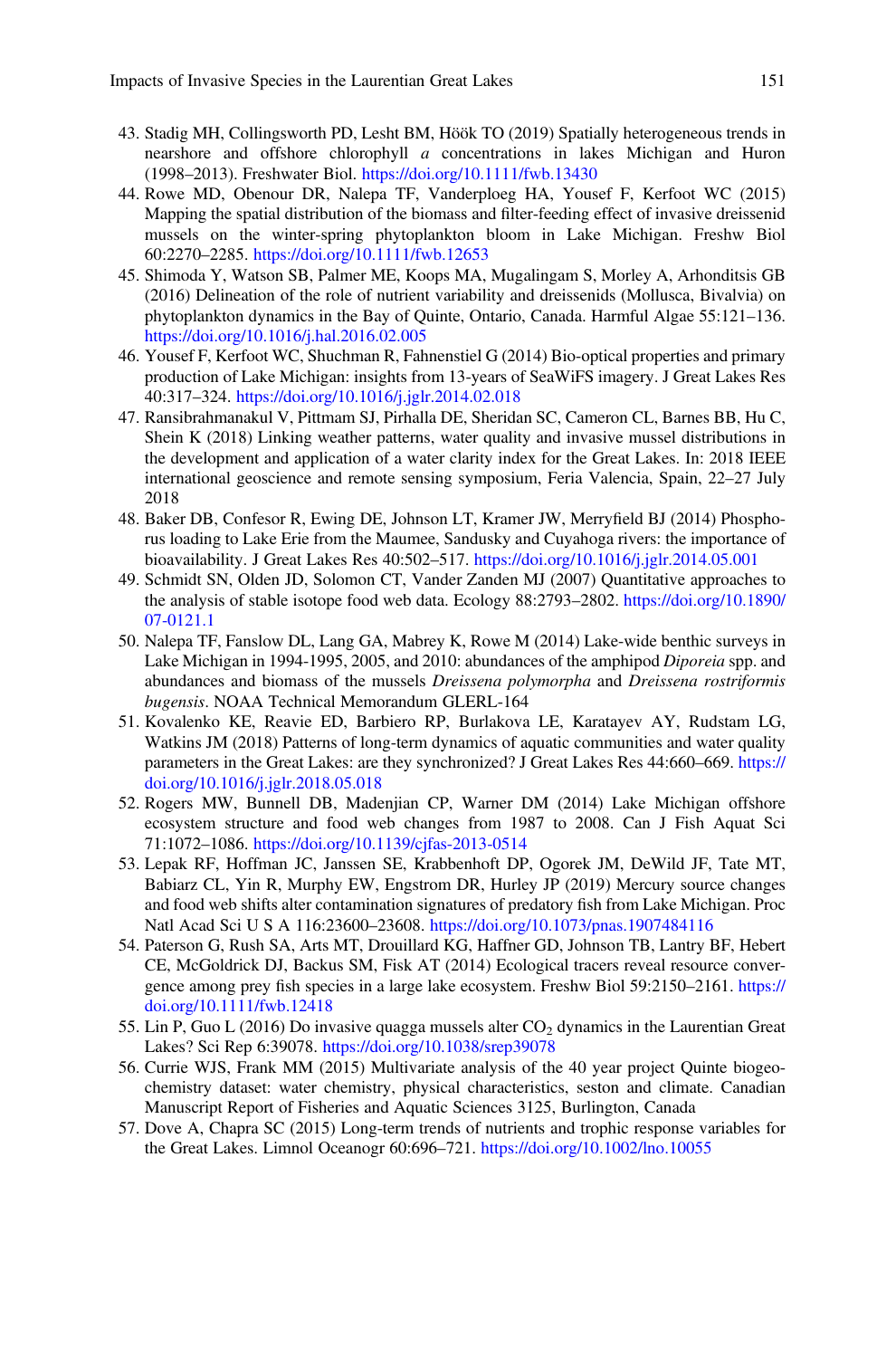- 43. Stadig MH, Collingsworth PD, Lesht BM, Höök TO (2019) Spatially heterogeneous trends in nearshore and offshore chlorophyll a concentrations in lakes Michigan and Huron (1998–2013). Freshwater Biol. <https://doi.org/10.1111/fwb.13430>
- 44. Rowe MD, Obenour DR, Nalepa TF, Vanderploeg HA, Yousef F, Kerfoot WC (2015) Mapping the spatial distribution of the biomass and filter-feeding effect of invasive dreissenid mussels on the winter-spring phytoplankton bloom in Lake Michigan. Freshw Biol 60:2270–2285. <https://doi.org/10.1111/fwb.12653>
- 45. Shimoda Y, Watson SB, Palmer ME, Koops MA, Mugalingam S, Morley A, Arhonditsis GB (2016) Delineation of the role of nutrient variability and dreissenids (Mollusca, Bivalvia) on phytoplankton dynamics in the Bay of Quinte, Ontario, Canada. Harmful Algae 55:121–136. <https://doi.org/10.1016/j.hal.2016.02.005>
- 46. Yousef F, Kerfoot WC, Shuchman R, Fahnenstiel G (2014) Bio-optical properties and primary production of Lake Michigan: insights from 13-years of SeaWiFS imagery. J Great Lakes Res 40:317–324. <https://doi.org/10.1016/j.jglr.2014.02.018>
- 47. Ransibrahmanakul V, Pittmam SJ, Pirhalla DE, Sheridan SC, Cameron CL, Barnes BB, Hu C, Shein K (2018) Linking weather patterns, water quality and invasive mussel distributions in the development and application of a water clarity index for the Great Lakes. In: 2018 IEEE international geoscience and remote sensing symposium, Feria Valencia, Spain, 22–27 July 2018
- 48. Baker DB, Confesor R, Ewing DE, Johnson LT, Kramer JW, Merryfield BJ (2014) Phosphorus loading to Lake Erie from the Maumee, Sandusky and Cuyahoga rivers: the importance of bioavailability. J Great Lakes Res 40:502–517. <https://doi.org/10.1016/j.jglr.2014.05.001>
- 49. Schmidt SN, Olden JD, Solomon CT, Vander Zanden MJ (2007) Quantitative approaches to the analysis of stable isotope food web data. Ecology 88:2793–2802. [https://doi.org/10.1890/](https://doi.org/10.1890/07-0121.1) [07-0121.1](https://doi.org/10.1890/07-0121.1)
- 50. Nalepa TF, Fanslow DL, Lang GA, Mabrey K, Rowe M (2014) Lake-wide benthic surveys in Lake Michigan in 1994-1995, 2005, and 2010: abundances of the amphipod Diporeia spp. and abundances and biomass of the mussels Dreissena polymorpha and Dreissena rostriformis bugensis. NOAA Technical Memorandum GLERL-164
- 51. Kovalenko KE, Reavie ED, Barbiero RP, Burlakova LE, Karatayev AY, Rudstam LG, Watkins JM (2018) Patterns of long-term dynamics of aquatic communities and water quality parameters in the Great Lakes: are they synchronized? J Great Lakes Res 44:660–669. [https://](https://doi.org/10.1016/j.jglr.2018.05.018) [doi.org/10.1016/j.jglr.2018.05.018](https://doi.org/10.1016/j.jglr.2018.05.018)
- 52. Rogers MW, Bunnell DB, Madenjian CP, Warner DM (2014) Lake Michigan offshore ecosystem structure and food web changes from 1987 to 2008. Can J Fish Aquat Sci 71:1072–1086. <https://doi.org/10.1139/cjfas-2013-0514>
- 53. Lepak RF, Hoffman JC, Janssen SE, Krabbenhoft DP, Ogorek JM, DeWild JF, Tate MT, Babiarz CL, Yin R, Murphy EW, Engstrom DR, Hurley JP (2019) Mercury source changes and food web shifts alter contamination signatures of predatory fish from Lake Michigan. Proc Natl Acad Sci U S A 116:23600–23608. <https://doi.org/10.1073/pnas.1907484116>
- 54. Paterson G, Rush SA, Arts MT, Drouillard KG, Haffner GD, Johnson TB, Lantry BF, Hebert CE, McGoldrick DJ, Backus SM, Fisk AT (2014) Ecological tracers reveal resource convergence among prey fish species in a large lake ecosystem. Freshw Biol 59:2150–2161. [https://](https://doi.org/10.1111/fwb.12418) [doi.org/10.1111/fwb.12418](https://doi.org/10.1111/fwb.12418)
- 55. Lin P, Guo L (2016) Do invasive quagga mussels alter  $CO<sub>2</sub>$  dynamics in the Laurentian Great Lakes? Sci Rep 6:39078. <https://doi.org/10.1038/srep39078>
- 56. Currie WJS, Frank MM (2015) Multivariate analysis of the 40 year project Quinte biogeochemistry dataset: water chemistry, physical characteristics, seston and climate. Canadian Manuscript Report of Fisheries and Aquatic Sciences 3125, Burlington, Canada
- 57. Dove A, Chapra SC (2015) Long-term trends of nutrients and trophic response variables for the Great Lakes. Limnol Oceanogr 60:696–721. <https://doi.org/10.1002/lno.10055>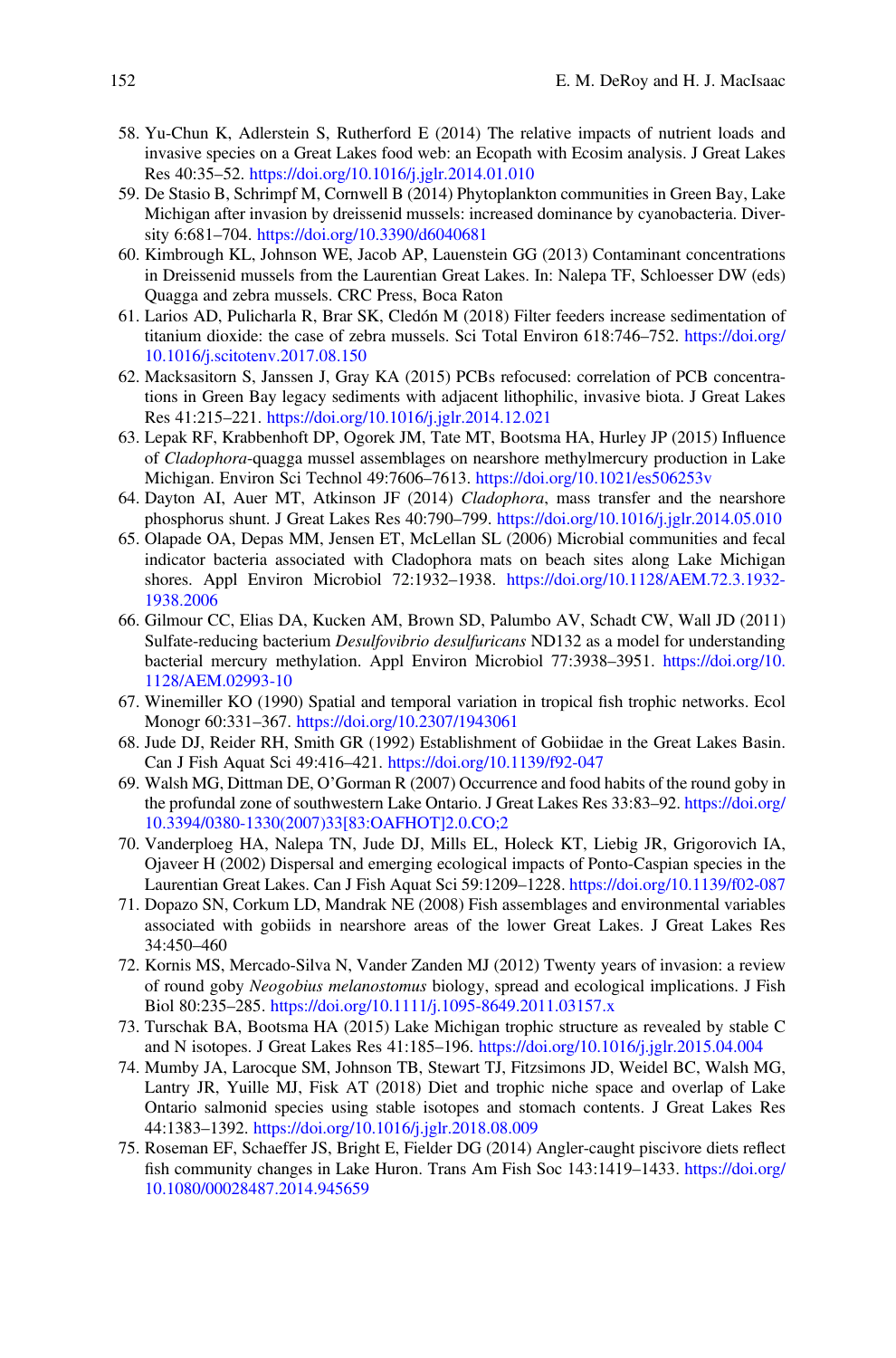- 58. Yu-Chun K, Adlerstein S, Rutherford E (2014) The relative impacts of nutrient loads and invasive species on a Great Lakes food web: an Ecopath with Ecosim analysis. J Great Lakes Res 40:35–52. <https://doi.org/10.1016/j.jglr.2014.01.010>
- 59. De Stasio B, Schrimpf M, Cornwell B (2014) Phytoplankton communities in Green Bay, Lake Michigan after invasion by dreissenid mussels: increased dominance by cyanobacteria. Diversity 6:681–704. <https://doi.org/10.3390/d6040681>
- 60. Kimbrough KL, Johnson WE, Jacob AP, Lauenstein GG (2013) Contaminant concentrations in Dreissenid mussels from the Laurentian Great Lakes. In: Nalepa TF, Schloesser DW (eds) Quagga and zebra mussels. CRC Press, Boca Raton
- 61. Larios AD, Pulicharla R, Brar SK, Cledón M (2018) Filter feeders increase sedimentation of titanium dioxide: the case of zebra mussels. Sci Total Environ 618:746–752. [https://doi.org/](https://doi.org/10.1016/j.scitotenv.2017.08.150) [10.1016/j.scitotenv.2017.08.150](https://doi.org/10.1016/j.scitotenv.2017.08.150)
- 62. Macksasitorn S, Janssen J, Gray KA (2015) PCBs refocused: correlation of PCB concentrations in Green Bay legacy sediments with adjacent lithophilic, invasive biota. J Great Lakes Res 41:215–221. <https://doi.org/10.1016/j.jglr.2014.12.021>
- 63. Lepak RF, Krabbenhoft DP, Ogorek JM, Tate MT, Bootsma HA, Hurley JP (2015) Influence of Cladophora-quagga mussel assemblages on nearshore methylmercury production in Lake Michigan. Environ Sci Technol 49:7606–7613. <https://doi.org/10.1021/es506253v>
- 64. Dayton AI, Auer MT, Atkinson JF (2014) Cladophora, mass transfer and the nearshore phosphorus shunt. J Great Lakes Res 40:790–799. <https://doi.org/10.1016/j.jglr.2014.05.010>
- 65. Olapade OA, Depas MM, Jensen ET, McLellan SL (2006) Microbial communities and fecal indicator bacteria associated with Cladophora mats on beach sites along Lake Michigan shores. Appl Environ Microbiol 72:1932–1938. [https://doi.org/10.1128/AEM.72.3.1932-](https://doi.org/10.1128/AEM.72.3.1932-1938.2006) [1938.2006](https://doi.org/10.1128/AEM.72.3.1932-1938.2006)
- 66. Gilmour CC, Elias DA, Kucken AM, Brown SD, Palumbo AV, Schadt CW, Wall JD (2011) Sulfate-reducing bacterium Desulfovibrio desulfuricans ND132 as a model for understanding bacterial mercury methylation. Appl Environ Microbiol 77:3938–3951. [https://doi.org/10.](https://doi.org/10.1128/AEM.02993-10) [1128/AEM.02993-10](https://doi.org/10.1128/AEM.02993-10)
- 67. Winemiller KO (1990) Spatial and temporal variation in tropical fish trophic networks. Ecol Monogr 60:331–367. <https://doi.org/10.2307/1943061>
- 68. Jude DJ, Reider RH, Smith GR (1992) Establishment of Gobiidae in the Great Lakes Basin. Can J Fish Aquat Sci 49:416–421. <https://doi.org/10.1139/f92-047>
- 69. Walsh MG, Dittman DE, O'Gorman R (2007) Occurrence and food habits of the round goby in the profundal zone of southwestern Lake Ontario. J Great Lakes Res 33:83–92. [https://doi.org/](https://doi.org/10.3394/0380-1330(2007)33[83:OAFHOT]2.0.CO;2) [10.3394/0380-1330\(2007\)33\[83:OAFHOT\]2.0.CO;2](https://doi.org/10.3394/0380-1330(2007)33[83:OAFHOT]2.0.CO;2)
- 70. Vanderploeg HA, Nalepa TN, Jude DJ, Mills EL, Holeck KT, Liebig JR, Grigorovich IA, Ojaveer H (2002) Dispersal and emerging ecological impacts of Ponto-Caspian species in the Laurentian Great Lakes. Can J Fish Aquat Sci 59:1209–1228. <https://doi.org/10.1139/f02-087>
- 71. Dopazo SN, Corkum LD, Mandrak NE (2008) Fish assemblages and environmental variables associated with gobiids in nearshore areas of the lower Great Lakes. J Great Lakes Res 34:450–460
- 72. Kornis MS, Mercado-Silva N, Vander Zanden MJ (2012) Twenty years of invasion: a review of round goby Neogobius melanostomus biology, spread and ecological implications. J Fish Biol 80:235–285. <https://doi.org/10.1111/j.1095-8649.2011.03157.x>
- 73. Turschak BA, Bootsma HA (2015) Lake Michigan trophic structure as revealed by stable C and N isotopes. J Great Lakes Res 41:185–196. <https://doi.org/10.1016/j.jglr.2015.04.004>
- 74. Mumby JA, Larocque SM, Johnson TB, Stewart TJ, Fitzsimons JD, Weidel BC, Walsh MG, Lantry JR, Yuille MJ, Fisk AT (2018) Diet and trophic niche space and overlap of Lake Ontario salmonid species using stable isotopes and stomach contents. J Great Lakes Res 44:1383–1392. <https://doi.org/10.1016/j.jglr.2018.08.009>
- 75. Roseman EF, Schaeffer JS, Bright E, Fielder DG (2014) Angler-caught piscivore diets reflect fish community changes in Lake Huron. Trans Am Fish Soc 143:1419–1433. [https://doi.org/](https://doi.org/10.1080/00028487.2014.945659) [10.1080/00028487.2014.945659](https://doi.org/10.1080/00028487.2014.945659)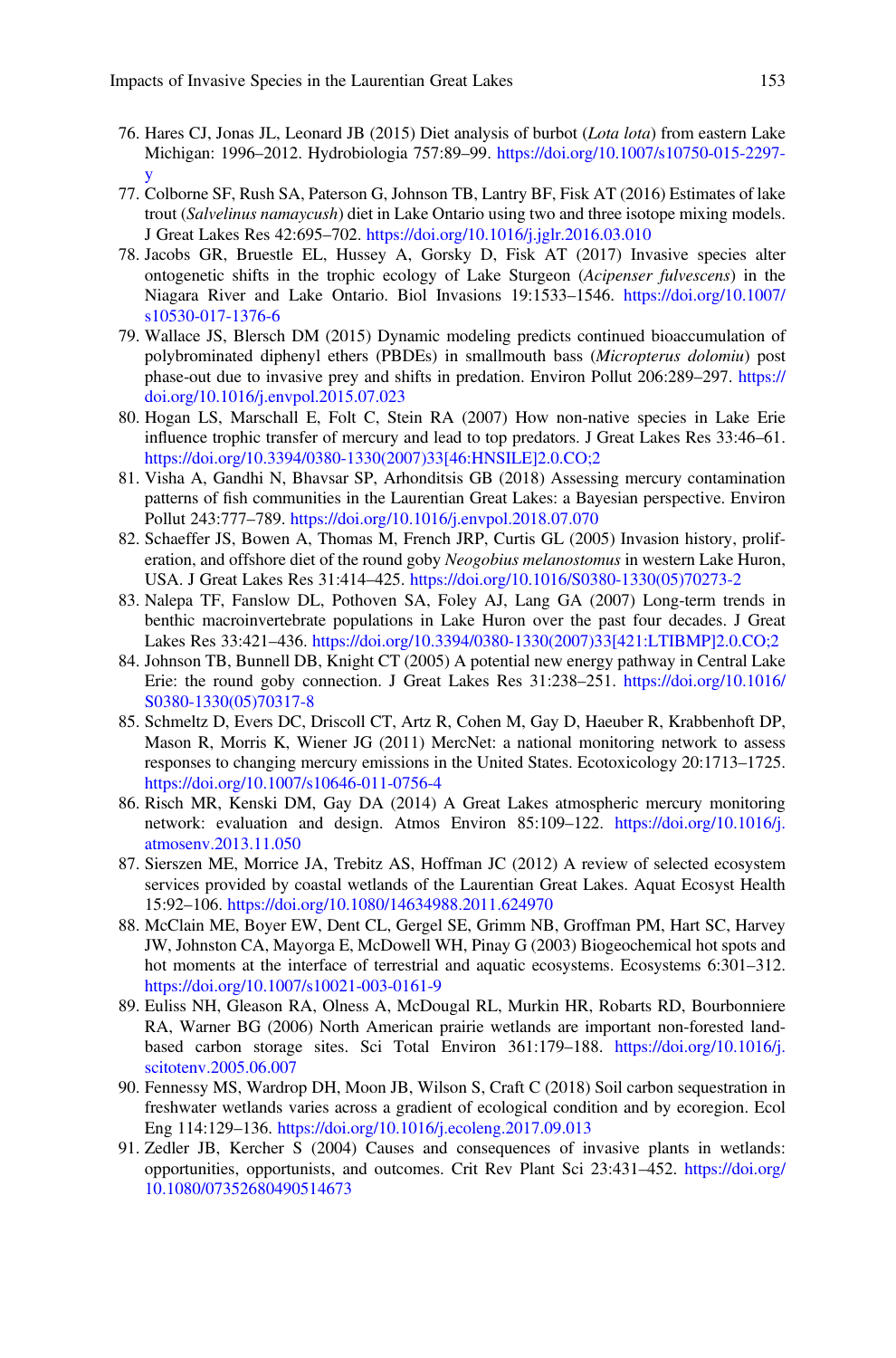- 76. Hares CJ, Jonas JL, Leonard JB (2015) Diet analysis of burbot (Lota lota) from eastern Lake Michigan: 1996–2012. Hydrobiologia 757:89–99. [https://doi.org/10.1007/s10750-015-2297](https://doi.org/10.1007/s10750-015-2297-y) [y](https://doi.org/10.1007/s10750-015-2297-y)
- 77. Colborne SF, Rush SA, Paterson G, Johnson TB, Lantry BF, Fisk AT (2016) Estimates of lake trout (Salvelinus namaycush) diet in Lake Ontario using two and three isotope mixing models. J Great Lakes Res 42:695–702. <https://doi.org/10.1016/j.jglr.2016.03.010>
- 78. Jacobs GR, Bruestle EL, Hussey A, Gorsky D, Fisk AT (2017) Invasive species alter ontogenetic shifts in the trophic ecology of Lake Sturgeon (Acipenser fulvescens) in the Niagara River and Lake Ontario. Biol Invasions 19:1533–1546. [https://doi.org/10.1007/](https://doi.org/10.1007/s10530-017-1376-6) [s10530-017-1376-6](https://doi.org/10.1007/s10530-017-1376-6)
- 79. Wallace JS, Blersch DM (2015) Dynamic modeling predicts continued bioaccumulation of polybrominated diphenyl ethers (PBDEs) in smallmouth bass (Micropterus dolomiu) post phase-out due to invasive prey and shifts in predation. Environ Pollut 206:289–297. [https://](https://doi.org/10.1016/j.envpol.2015.07.023) [doi.org/10.1016/j.envpol.2015.07.023](https://doi.org/10.1016/j.envpol.2015.07.023)
- 80. Hogan LS, Marschall E, Folt C, Stein RA (2007) How non-native species in Lake Erie influence trophic transfer of mercury and lead to top predators. J Great Lakes Res 33:46–61. [https://doi.org/10.3394/0380-1330\(2007\)33\[46:HNSILE\]2.0.CO;2](https://doi.org/10.3394/0380-1330(2007)33[46:HNSILE]2.0.CO;2)
- 81. Visha A, Gandhi N, Bhavsar SP, Arhonditsis GB (2018) Assessing mercury contamination patterns of fish communities in the Laurentian Great Lakes: a Bayesian perspective. Environ Pollut 243:777–789. <https://doi.org/10.1016/j.envpol.2018.07.070>
- 82. Schaeffer JS, Bowen A, Thomas M, French JRP, Curtis GL (2005) Invasion history, proliferation, and offshore diet of the round goby *Neogobius melanostomus* in western Lake Huron, USA. J Great Lakes Res 31:414–425. [https://doi.org/10.1016/S0380-1330\(05\)70273-2](https://doi.org/10.1016/S0380-1330(05)70273-2)
- 83. Nalepa TF, Fanslow DL, Pothoven SA, Foley AJ, Lang GA (2007) Long-term trends in benthic macroinvertebrate populations in Lake Huron over the past four decades. J Great Lakes Res 33:421–436. [https://doi.org/10.3394/0380-1330\(2007\)33\[421:LTIBMP\]2.0.CO;2](https://doi.org/10.3394/0380-1330(2007)33[421:LTIBMP]2.0.CO;2)
- 84. Johnson TB, Bunnell DB, Knight CT (2005) A potential new energy pathway in Central Lake Erie: the round goby connection. J Great Lakes Res 31:238–251. [https://doi.org/10.1016/](https://doi.org/10.1016/S0380-1330(05)70317-8) [S0380-1330\(05\)70317-8](https://doi.org/10.1016/S0380-1330(05)70317-8)
- 85. Schmeltz D, Evers DC, Driscoll CT, Artz R, Cohen M, Gay D, Haeuber R, Krabbenhoft DP, Mason R, Morris K, Wiener JG (2011) MercNet: a national monitoring network to assess responses to changing mercury emissions in the United States. Ecotoxicology 20:1713–1725. <https://doi.org/10.1007/s10646-011-0756-4>
- 86. Risch MR, Kenski DM, Gay DA (2014) A Great Lakes atmospheric mercury monitoring network: evaluation and design. Atmos Environ 85:109–122. [https://doi.org/10.1016/j.](https://doi.org/10.1016/j.atmosenv.2013.11.050) [atmosenv.2013.11.050](https://doi.org/10.1016/j.atmosenv.2013.11.050)
- 87. Sierszen ME, Morrice JA, Trebitz AS, Hoffman JC (2012) A review of selected ecosystem services provided by coastal wetlands of the Laurentian Great Lakes. Aquat Ecosyst Health 15:92–106. <https://doi.org/10.1080/14634988.2011.624970>
- 88. McClain ME, Boyer EW, Dent CL, Gergel SE, Grimm NB, Groffman PM, Hart SC, Harvey JW, Johnston CA, Mayorga E, McDowell WH, Pinay G (2003) Biogeochemical hot spots and hot moments at the interface of terrestrial and aquatic ecosystems. Ecosystems 6:301–312. <https://doi.org/10.1007/s10021-003-0161-9>
- 89. Euliss NH, Gleason RA, Olness A, McDougal RL, Murkin HR, Robarts RD, Bourbonniere RA, Warner BG (2006) North American prairie wetlands are important non-forested landbased carbon storage sites. Sci Total Environ 361:179–188. [https://doi.org/10.1016/j.](https://doi.org/10.1016/j.scitotenv.2005.06.007) [scitotenv.2005.06.007](https://doi.org/10.1016/j.scitotenv.2005.06.007)
- 90. Fennessy MS, Wardrop DH, Moon JB, Wilson S, Craft C (2018) Soil carbon sequestration in freshwater wetlands varies across a gradient of ecological condition and by ecoregion. Ecol Eng 114:129–136. <https://doi.org/10.1016/j.ecoleng.2017.09.013>
- 91. Zedler JB, Kercher S (2004) Causes and consequences of invasive plants in wetlands: opportunities, opportunists, and outcomes. Crit Rev Plant Sci 23:431–452. [https://doi.org/](https://doi.org/10.1080/07352680490514673) [10.1080/07352680490514673](https://doi.org/10.1080/07352680490514673)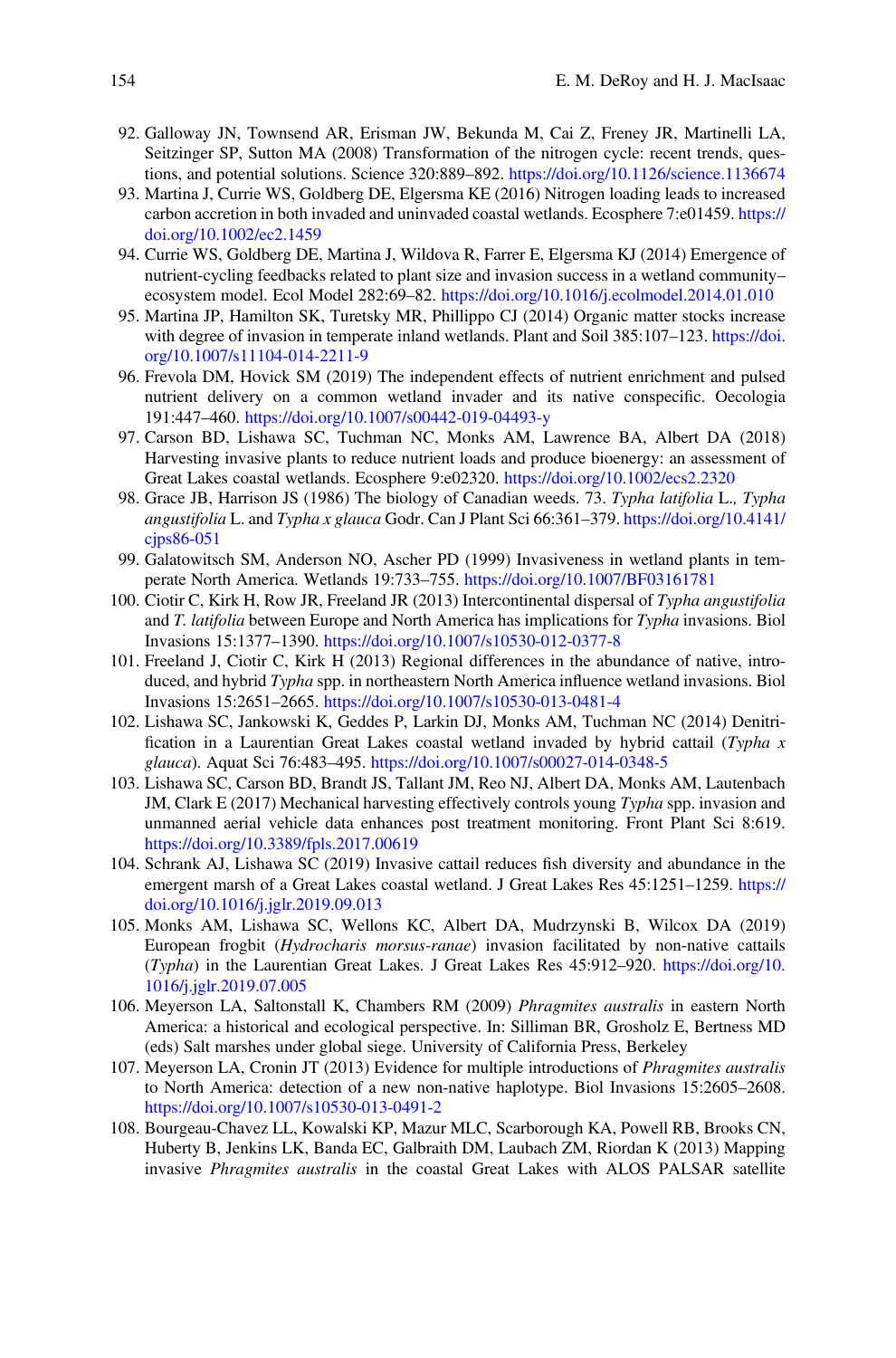- 92. Galloway JN, Townsend AR, Erisman JW, Bekunda M, Cai Z, Freney JR, Martinelli LA, Seitzinger SP, Sutton MA (2008) Transformation of the nitrogen cycle: recent trends, questions, and potential solutions. Science 320:889–892. <https://doi.org/10.1126/science.1136674>
- 93. Martina J, Currie WS, Goldberg DE, Elgersma KE (2016) Nitrogen loading leads to increased carbon accretion in both invaded and uninvaded coastal wetlands. Ecosphere 7:e01459. [https://](https://doi.org/10.1002/ec2.1459) [doi.org/10.1002/ec2.1459](https://doi.org/10.1002/ec2.1459)
- 94. Currie WS, Goldberg DE, Martina J, Wildova R, Farrer E, Elgersma KJ (2014) Emergence of nutrient-cycling feedbacks related to plant size and invasion success in a wetland community– ecosystem model. Ecol Model 282:69–82. <https://doi.org/10.1016/j.ecolmodel.2014.01.010>
- 95. Martina JP, Hamilton SK, Turetsky MR, Phillippo CJ (2014) Organic matter stocks increase with degree of invasion in temperate inland wetlands. Plant and Soil 385:107–123. [https://doi.](https://doi.org/10.1007/s11104-014-2211-9) [org/10.1007/s11104-014-2211-9](https://doi.org/10.1007/s11104-014-2211-9)
- 96. Frevola DM, Hovick SM (2019) The independent effects of nutrient enrichment and pulsed nutrient delivery on a common wetland invader and its native conspecific. Oecologia 191:447–460. <https://doi.org/10.1007/s00442-019-04493-y>
- 97. Carson BD, Lishawa SC, Tuchman NC, Monks AM, Lawrence BA, Albert DA (2018) Harvesting invasive plants to reduce nutrient loads and produce bioenergy: an assessment of Great Lakes coastal wetlands. Ecosphere 9:e02320. <https://doi.org/10.1002/ecs2.2320>
- 98. Grace JB, Harrison JS (1986) The biology of Canadian weeds. 73. Typha latifolia L., Typha angustifolia L. and Typha x glauca Godr. Can J Plant Sci 66:361–379. [https://doi.org/10.4141/](https://doi.org/10.4141/cjps86-051) cips86-051
- 99. Galatowitsch SM, Anderson NO, Ascher PD (1999) Invasiveness in wetland plants in temperate North America. Wetlands 19:733–755. <https://doi.org/10.1007/BF03161781>
- 100. Ciotir C, Kirk H, Row JR, Freeland JR (2013) Intercontinental dispersal of Typha angustifolia and T. latifolia between Europe and North America has implications for Typha invasions. Biol Invasions 15:1377–1390. <https://doi.org/10.1007/s10530-012-0377-8>
- 101. Freeland J, Ciotir C, Kirk H (2013) Regional differences in the abundance of native, introduced, and hybrid Typha spp. in northeastern North America influence wetland invasions. Biol Invasions 15:2651–2665. <https://doi.org/10.1007/s10530-013-0481-4>
- 102. Lishawa SC, Jankowski K, Geddes P, Larkin DJ, Monks AM, Tuchman NC (2014) Denitrification in a Laurentian Great Lakes coastal wetland invaded by hybrid cattail  $(Typha x)$ glauca). Aquat Sci 76:483-495. <https://doi.org/10.1007/s00027-014-0348-5>
- 103. Lishawa SC, Carson BD, Brandt JS, Tallant JM, Reo NJ, Albert DA, Monks AM, Lautenbach JM, Clark E (2017) Mechanical harvesting effectively controls young Typha spp. invasion and unmanned aerial vehicle data enhances post treatment monitoring. Front Plant Sci 8:619. <https://doi.org/10.3389/fpls.2017.00619>
- 104. Schrank AJ, Lishawa SC (2019) Invasive cattail reduces fish diversity and abundance in the emergent marsh of a Great Lakes coastal wetland. J Great Lakes Res 45:1251–1259. [https://](https://doi.org/10.1016/j.jglr.2019.09.013) [doi.org/10.1016/j.jglr.2019.09.013](https://doi.org/10.1016/j.jglr.2019.09.013)
- 105. Monks AM, Lishawa SC, Wellons KC, Albert DA, Mudrzynski B, Wilcox DA (2019) European frogbit (Hydrocharis morsus-ranae) invasion facilitated by non-native cattails (Typha) in the Laurentian Great Lakes. J Great Lakes Res 45:912–920. [https://doi.org/10.](https://doi.org/10.1016/j.jglr.2019.07.005) [1016/j.jglr.2019.07.005](https://doi.org/10.1016/j.jglr.2019.07.005)
- 106. Meyerson LA, Saltonstall K, Chambers RM (2009) Phragmites australis in eastern North America: a historical and ecological perspective. In: Silliman BR, Grosholz E, Bertness MD (eds) Salt marshes under global siege. University of California Press, Berkeley
- 107. Meyerson LA, Cronin JT (2013) Evidence for multiple introductions of Phragmites australis to North America: detection of a new non-native haplotype. Biol Invasions 15:2605–2608. <https://doi.org/10.1007/s10530-013-0491-2>
- 108. Bourgeau-Chavez LL, Kowalski KP, Mazur MLC, Scarborough KA, Powell RB, Brooks CN, Huberty B, Jenkins LK, Banda EC, Galbraith DM, Laubach ZM, Riordan K (2013) Mapping invasive Phragmites australis in the coastal Great Lakes with ALOS PALSAR satellite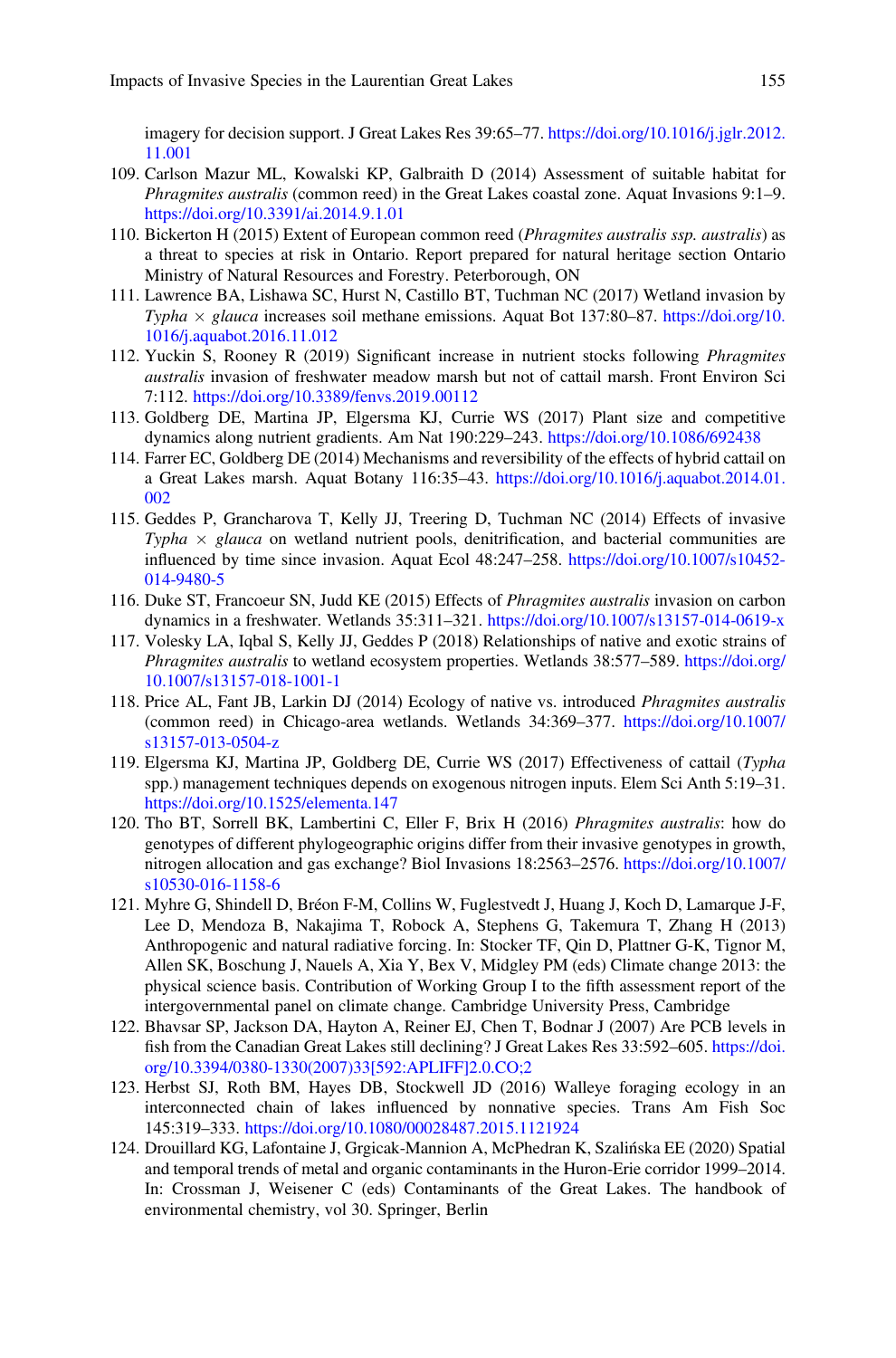imagery for decision support. J Great Lakes Res 39:65–77. [https://doi.org/10.1016/j.jglr.2012.](https://doi.org/10.1016/j.jglr.2012.11.001) [11.001](https://doi.org/10.1016/j.jglr.2012.11.001)

- 109. Carlson Mazur ML, Kowalski KP, Galbraith D (2014) Assessment of suitable habitat for Phragmites australis (common reed) in the Great Lakes coastal zone. Aquat Invasions 9:1–9. <https://doi.org/10.3391/ai.2014.9.1.01>
- 110. Bickerton H (2015) Extent of European common reed (Phragmites australis ssp. australis) as a threat to species at risk in Ontario. Report prepared for natural heritage section Ontario Ministry of Natural Resources and Forestry. Peterborough, ON
- 111. Lawrence BA, Lishawa SC, Hurst N, Castillo BT, Tuchman NC (2017) Wetland invasion by Typha  $\times$  glauca increases soil methane emissions. Aquat Bot 137:80–87. [https://doi.org/10.](https://doi.org/10.1016/j.aquabot.2016.11.012) [1016/j.aquabot.2016.11.012](https://doi.org/10.1016/j.aquabot.2016.11.012)
- 112. Yuckin S, Rooney R (2019) Significant increase in nutrient stocks following Phragmites australis invasion of freshwater meadow marsh but not of cattail marsh. Front Environ Sci 7:112. <https://doi.org/10.3389/fenvs.2019.00112>
- 113. Goldberg DE, Martina JP, Elgersma KJ, Currie WS (2017) Plant size and competitive dynamics along nutrient gradients. Am Nat 190:229–243. <https://doi.org/10.1086/692438>
- 114. Farrer EC, Goldberg DE (2014) Mechanisms and reversibility of the effects of hybrid cattail on a Great Lakes marsh. Aquat Botany 116:35–43. [https://doi.org/10.1016/j.aquabot.2014.01.](https://doi.org/10.1016/j.aquabot.2014.01.002) [002](https://doi.org/10.1016/j.aquabot.2014.01.002)
- 115. Geddes P, Grancharova T, Kelly JJ, Treering D, Tuchman NC (2014) Effects of invasive Typha  $\times$  glauca on wetland nutrient pools, denitrification, and bacterial communities are influenced by time since invasion. Aquat Ecol 48:247–258. [https://doi.org/10.1007/s10452-](https://doi.org/10.1007/s10452-014-9480-5) [014-9480-5](https://doi.org/10.1007/s10452-014-9480-5)
- 116. Duke ST, Francoeur SN, Judd KE (2015) Effects of Phragmites australis invasion on carbon dynamics in a freshwater. Wetlands 35:311–321. <https://doi.org/10.1007/s13157-014-0619-x>
- 117. Volesky LA, Iqbal S, Kelly JJ, Geddes P (2018) Relationships of native and exotic strains of Phragmites australis to wetland ecosystem properties. Wetlands 38:577–589. [https://doi.org/](https://doi.org/10.1007/s13157-018-1001-1) [10.1007/s13157-018-1001-1](https://doi.org/10.1007/s13157-018-1001-1)
- 118. Price AL, Fant JB, Larkin DJ (2014) Ecology of native vs. introduced Phragmites australis (common reed) in Chicago-area wetlands. Wetlands 34:369–377. [https://doi.org/10.1007/](https://doi.org/10.1007/s13157-013-0504-z) [s13157-013-0504-z](https://doi.org/10.1007/s13157-013-0504-z)
- 119. Elgersma KJ, Martina JP, Goldberg DE, Currie WS (2017) Effectiveness of cattail (Typha spp.) management techniques depends on exogenous nitrogen inputs. Elem Sci Anth 5:19–31. <https://doi.org/10.1525/elementa.147>
- 120. Tho BT, Sorrell BK, Lambertini C, Eller F, Brix H (2016) Phragmites australis: how do genotypes of different phylogeographic origins differ from their invasive genotypes in growth, nitrogen allocation and gas exchange? Biol Invasions 18:2563–2576. [https://doi.org/10.1007/](https://doi.org/10.1007/s10530-016-1158-6) [s10530-016-1158-6](https://doi.org/10.1007/s10530-016-1158-6)
- 121. Myhre G, Shindell D, Bréon F-M, Collins W, Fuglestvedt J, Huang J, Koch D, Lamarque J-F, Lee D, Mendoza B, Nakajima T, Robock A, Stephens G, Takemura T, Zhang H (2013) Anthropogenic and natural radiative forcing. In: Stocker TF, Qin D, Plattner G-K, Tignor M, Allen SK, Boschung J, Nauels A, Xia Y, Bex V, Midgley PM (eds) Climate change 2013: the physical science basis. Contribution of Working Group I to the fifth assessment report of the intergovernmental panel on climate change. Cambridge University Press, Cambridge
- 122. Bhavsar SP, Jackson DA, Hayton A, Reiner EJ, Chen T, Bodnar J (2007) Are PCB levels in fish from the Canadian Great Lakes still declining? J Great Lakes Res 33:592–605. [https://doi.](https://doi.org/10.3394/0380-1330(2007)33[592:APLIFF]2.0.CO;2) [org/10.3394/0380-1330\(2007\)33\[592:APLIFF\]2.0.CO;2](https://doi.org/10.3394/0380-1330(2007)33[592:APLIFF]2.0.CO;2)
- 123. Herbst SJ, Roth BM, Hayes DB, Stockwell JD (2016) Walleye foraging ecology in an interconnected chain of lakes influenced by nonnative species. Trans Am Fish Soc 145:319–333. <https://doi.org/10.1080/00028487.2015.1121924>
- 124. Drouillard KG, Lafontaine J, Grgicak-Mannion A, McPhedran K, Szalińska EE (2020) Spatial and temporal trends of metal and organic contaminants in the Huron-Erie corridor 1999–2014. In: Crossman J, Weisener C (eds) Contaminants of the Great Lakes. The handbook of environmental chemistry, vol 30. Springer, Berlin